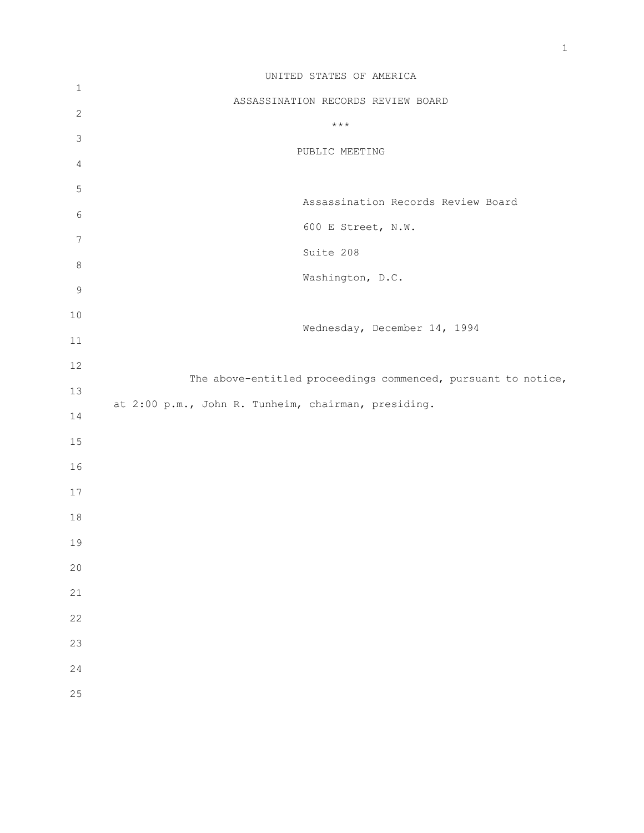|                  | UNITED STATES OF AMERICA                                      |
|------------------|---------------------------------------------------------------|
| $\mathbf{1}$     | ASSASSINATION RECORDS REVIEW BOARD                            |
| $\sqrt{2}$       | $\star\star\star$                                             |
| $\mathsf 3$      |                                                               |
| 4                | PUBLIC MEETING                                                |
| $\mathbf 5$      |                                                               |
| $\epsilon$       | Assassination Records Review Board                            |
|                  | 600 E Street, N.W.                                            |
| $\boldsymbol{7}$ | Suite 208                                                     |
| $\,8\,$          | Washington, D.C.                                              |
| $\mathsf 9$      |                                                               |
| $10$             | Wednesday, December 14, 1994                                  |
| 11               |                                                               |
| $12\,$           |                                                               |
| 13               | The above-entitled proceedings commenced, pursuant to notice, |
| 14               | at 2:00 p.m., John R. Tunheim, chairman, presiding.           |
| 15               |                                                               |
| 16               |                                                               |
| $17$             |                                                               |
| 18               |                                                               |
| 19               |                                                               |
| 20               |                                                               |
| 21               |                                                               |
| 22               |                                                               |
| 23               |                                                               |
| 24               |                                                               |
| 25               |                                                               |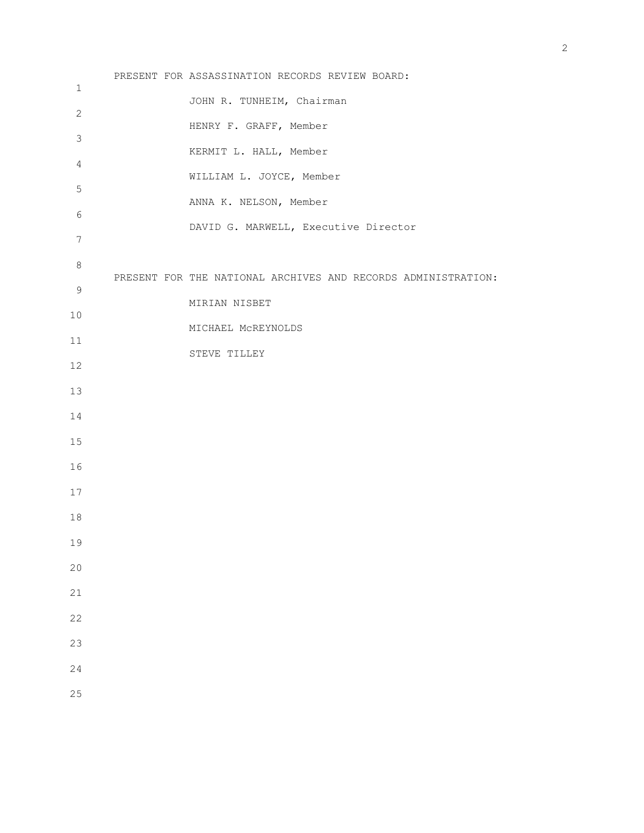|              | PRESENT FOR ASSASSINATION RECORDS REVIEW BOARD:               |
|--------------|---------------------------------------------------------------|
| $\mathbf 1$  | JOHN R. TUNHEIM, Chairman                                     |
| $\mathbf{2}$ |                                                               |
| 3            | HENRY F. GRAFF, Member                                        |
| 4            | KERMIT L. HALL, Member                                        |
| $\mathsf S$  | WILLIAM L. JOYCE, Member                                      |
|              | ANNA K. NELSON, Member                                        |
| 6            | DAVID G. MARWELL, Executive Director                          |
| 7            |                                                               |
| 8            | PRESENT FOR THE NATIONAL ARCHIVES AND RECORDS ADMINISTRATION: |
| $\mathsf 9$  |                                                               |
| 10           | MIRIAN NISBET                                                 |
| 11           | MICHAEL MCREYNOLDS                                            |
| 12           | STEVE TILLEY                                                  |
|              |                                                               |
| 13           |                                                               |
| 14           |                                                               |
| 15           |                                                               |
| 16           |                                                               |
| 17           |                                                               |
| 18           |                                                               |
| 19           |                                                               |
|              |                                                               |
| 20           |                                                               |
| 21           |                                                               |
| 22           |                                                               |
| 23           |                                                               |
| 24           |                                                               |
| 25           |                                                               |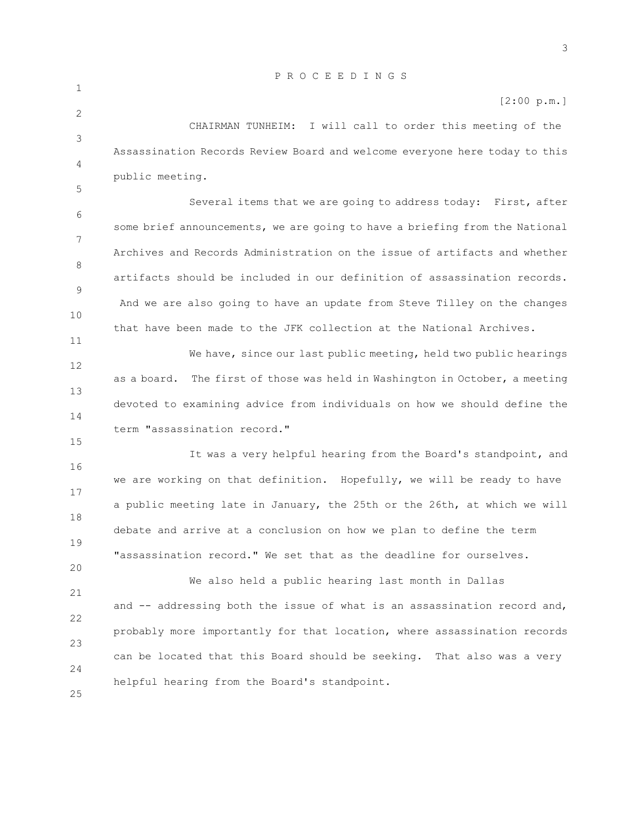[2:00 p.m.]

3 CHAIRMAN TUNHEIM: I will call to order this meeting of the Assassination Records Review Board and welcome everyone here today to this public meeting.

6 7 8 9 10 Several items that we are going to address today: First, after some brief announcements, we are going to have a briefing from the National Archives and Records Administration on the issue of artifacts and whether artifacts should be included in our definition of assassination records. And we are also going to have an update from Steve Tilley on the changes that have been made to the JFK collection at the National Archives.

12 13 14 We have, since our last public meeting, held two public hearings as a board. The first of those was held in Washington in October, a meeting devoted to examining advice from individuals on how we should define the term "assassination record."

16 17 18 19 It was a very helpful hearing from the Board's standpoint, and we are working on that definition. Hopefully, we will be ready to have a public meeting late in January, the 25th or the 26th, at which we will debate and arrive at a conclusion on how we plan to define the term "assassination record." We set that as the deadline for ourselves.

21 22 23 24 We also held a public hearing last month in Dallas and -- addressing both the issue of what is an assassination record and, probably more importantly for that location, where assassination records can be located that this Board should be seeking. That also was a very helpful hearing from the Board's standpoint.

25

20

1

2

4

5

11

15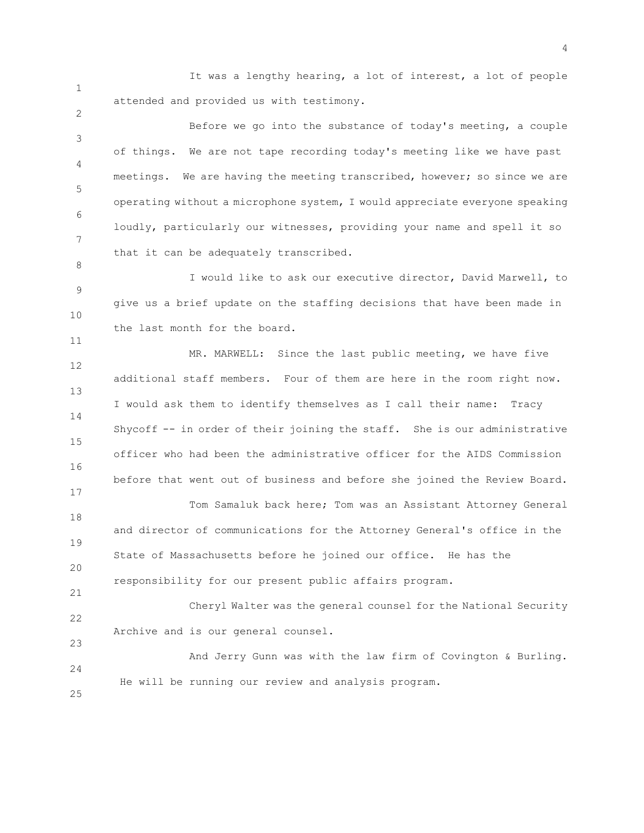It was a lengthy hearing, a lot of interest, a lot of people attended and provided us with testimony.

1

2

8

11

17

21

23

3 4 5 6 7 Before we go into the substance of today's meeting, a couple of things. We are not tape recording today's meeting like we have past meetings. We are having the meeting transcribed, however; so since we are operating without a microphone system, I would appreciate everyone speaking loudly, particularly our witnesses, providing your name and spell it so that it can be adequately transcribed.

9 10 I would like to ask our executive director, David Marwell, to give us a brief update on the staffing decisions that have been made in the last month for the board.

12 13 14 15 16 MR. MARWELL: Since the last public meeting, we have five additional staff members. Four of them are here in the room right now. I would ask them to identify themselves as I call their name: Tracy Shycoff -- in order of their joining the staff. She is our administrative officer who had been the administrative officer for the AIDS Commission before that went out of business and before she joined the Review Board.

18 19 20 Tom Samaluk back here; Tom was an Assistant Attorney General and director of communications for the Attorney General's office in the State of Massachusetts before he joined our office. He has the responsibility for our present public affairs program.

22 Cheryl Walter was the general counsel for the National Security Archive and is our general counsel.

24 25 And Jerry Gunn was with the law firm of Covington & Burling. He will be running our review and analysis program.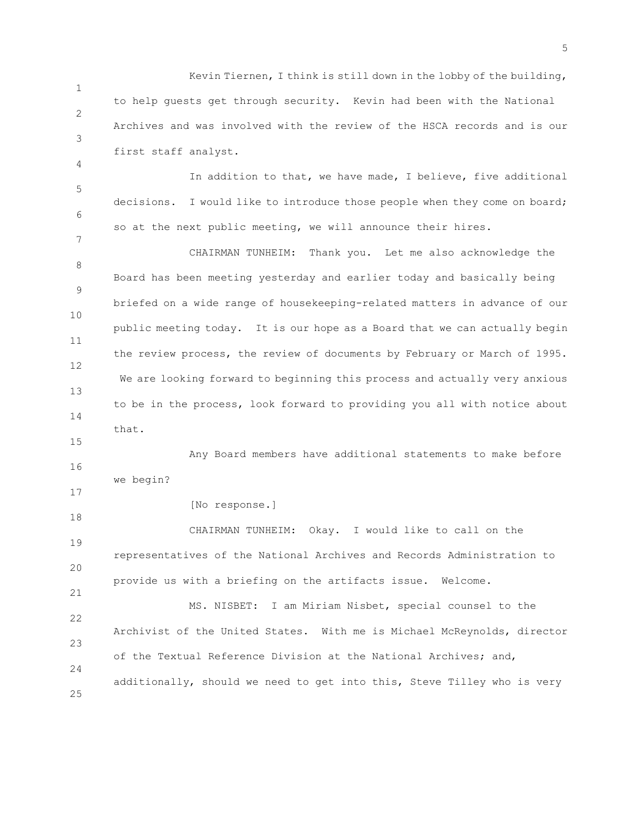1 2 3 Kevin Tiernen, I think is still down in the lobby of the building, to help guests get through security. Kevin had been with the National Archives and was involved with the review of the HSCA records and is our first staff analyst.

5 6 In addition to that, we have made, I believe, five additional decisions. I would like to introduce those people when they come on board; so at the next public meeting, we will announce their hires.

8 9 10 11 12 13 14 CHAIRMAN TUNHEIM: Thank you. Let me also acknowledge the Board has been meeting yesterday and earlier today and basically being briefed on a wide range of housekeeping-related matters in advance of our public meeting today. It is our hope as a Board that we can actually begin the review process, the review of documents by February or March of 1995. We are looking forward to beginning this process and actually very anxious to be in the process, look forward to providing you all with notice about that.

16 Any Board members have additional statements to make before we begin?

[No response.]

4

7

15

17

18

19 20 21 CHAIRMAN TUNHEIM: Okay. I would like to call on the representatives of the National Archives and Records Administration to provide us with a briefing on the artifacts issue. Welcome.

22 23 24 25 MS. NISBET: I am Miriam Nisbet, special counsel to the Archivist of the United States. With me is Michael McReynolds, director of the Textual Reference Division at the National Archives; and, additionally, should we need to get into this, Steve Tilley who is very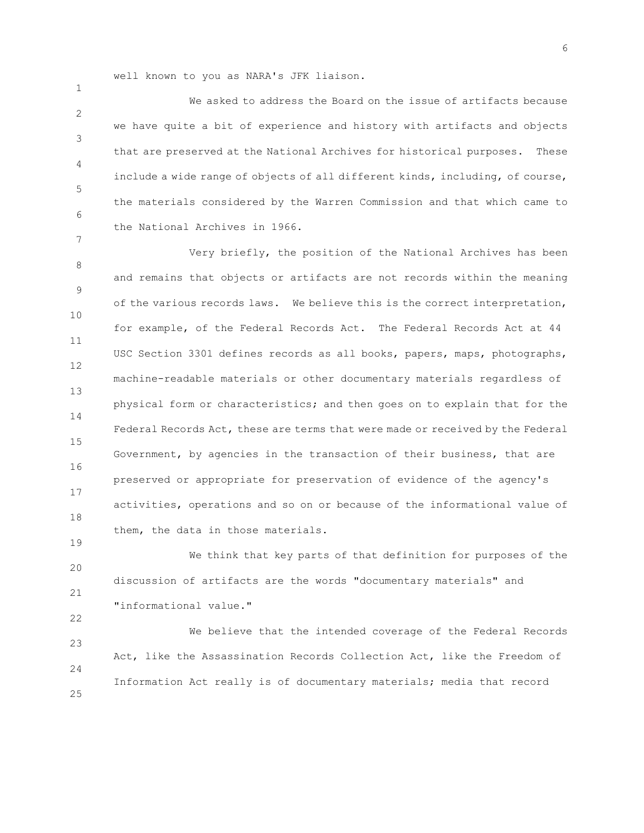well known to you as NARA's JFK liaison.

1

7

19

22

2 3 4 5 6 We asked to address the Board on the issue of artifacts because we have quite a bit of experience and history with artifacts and objects that are preserved at the National Archives for historical purposes. These include a wide range of objects of all different kinds, including, of course, the materials considered by the Warren Commission and that which came to the National Archives in 1966.

8 9 10 11 12 13 14 15 16 17 18 Very briefly, the position of the National Archives has been and remains that objects or artifacts are not records within the meaning of the various records laws. We believe this is the correct interpretation, for example, of the Federal Records Act. The Federal Records Act at 44 USC Section 3301 defines records as all books, papers, maps, photographs, machine-readable materials or other documentary materials regardless of physical form or characteristics; and then goes on to explain that for the Federal Records Act, these are terms that were made or received by the Federal Government, by agencies in the transaction of their business, that are preserved or appropriate for preservation of evidence of the agency's activities, operations and so on or because of the informational value of them, the data in those materials.

20 21 We think that key parts of that definition for purposes of the discussion of artifacts are the words "documentary materials" and "informational value."

23 24 25 We believe that the intended coverage of the Federal Records Act, like the Assassination Records Collection Act, like the Freedom of Information Act really is of documentary materials; media that record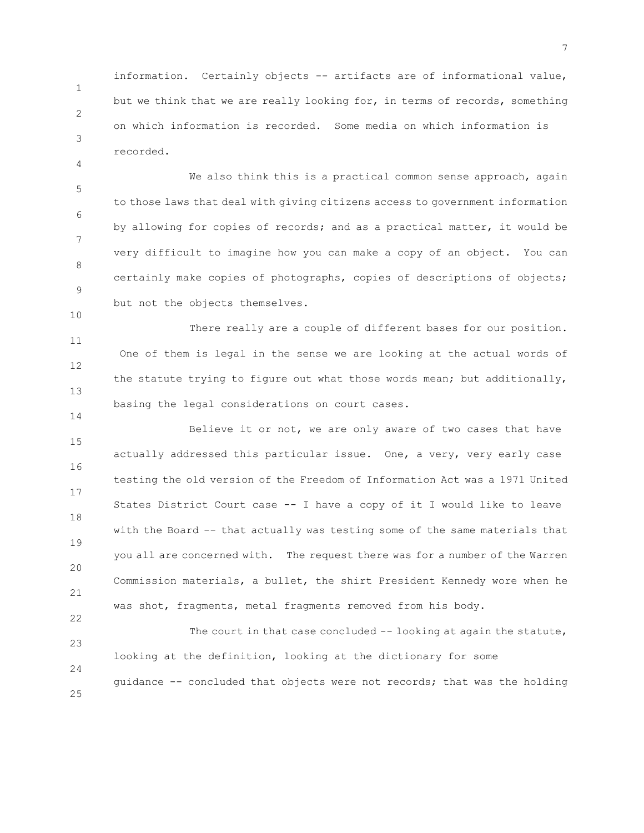1 2 information. Certainly objects -- artifacts are of informational value, but we think that we are really looking for, in terms of records, something on which information is recorded. Some media on which information is recorded.

3

4

10

14

5 6 7 8 9 We also think this is a practical common sense approach, again to those laws that deal with giving citizens access to government information by allowing for copies of records; and as a practical matter, it would be very difficult to imagine how you can make a copy of an object. You can certainly make copies of photographs, copies of descriptions of objects; but not the objects themselves.

11 12 13 There really are a couple of different bases for our position. One of them is legal in the sense we are looking at the actual words of the statute trying to figure out what those words mean; but additionally, basing the legal considerations on court cases.

15 16 17 18 19 20 21 22 Believe it or not, we are only aware of two cases that have actually addressed this particular issue. One, a very, very early case testing the old version of the Freedom of Information Act was a 1971 United States District Court case -- I have a copy of it I would like to leave with the Board -- that actually was testing some of the same materials that you all are concerned with. The request there was for a number of the Warren Commission materials, a bullet, the shirt President Kennedy wore when he was shot, fragments, metal fragments removed from his body.

23 24 25 The court in that case concluded -- looking at again the statute, looking at the definition, looking at the dictionary for some guidance -- concluded that objects were not records; that was the holding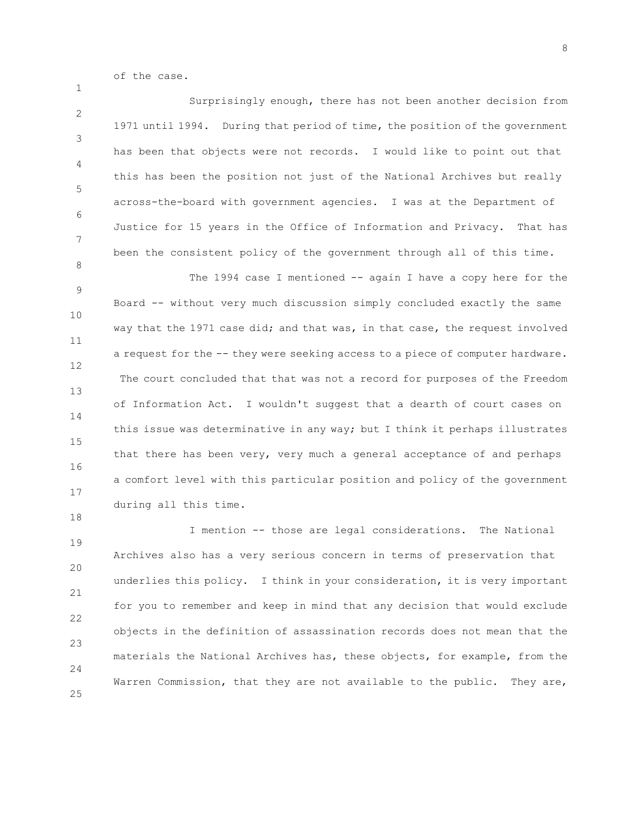of the case.

1

2 3 4 5 6 7 8 Surprisingly enough, there has not been another decision from 1971 until 1994. During that period of time, the position of the government has been that objects were not records. I would like to point out that this has been the position not just of the National Archives but really across-the-board with government agencies. I was at the Department of Justice for 15 years in the Office of Information and Privacy. That has been the consistent policy of the government through all of this time.

9 10 11 12 13 14 15 16 17 18 The 1994 case I mentioned -- again I have a copy here for the Board -- without very much discussion simply concluded exactly the same way that the 1971 case did; and that was, in that case, the request involved a request for the -- they were seeking access to a piece of computer hardware. The court concluded that that was not a record for purposes of the Freedom of Information Act. I wouldn't suggest that a dearth of court cases on this issue was determinative in any way; but I think it perhaps illustrates that there has been very, very much a general acceptance of and perhaps a comfort level with this particular position and policy of the government during all this time.

19 20 21 22 23 24 25 I mention -- those are legal considerations. The National Archives also has a very serious concern in terms of preservation that underlies this policy. I think in your consideration, it is very important for you to remember and keep in mind that any decision that would exclude objects in the definition of assassination records does not mean that the materials the National Archives has, these objects, for example, from the Warren Commission, that they are not available to the public. They are,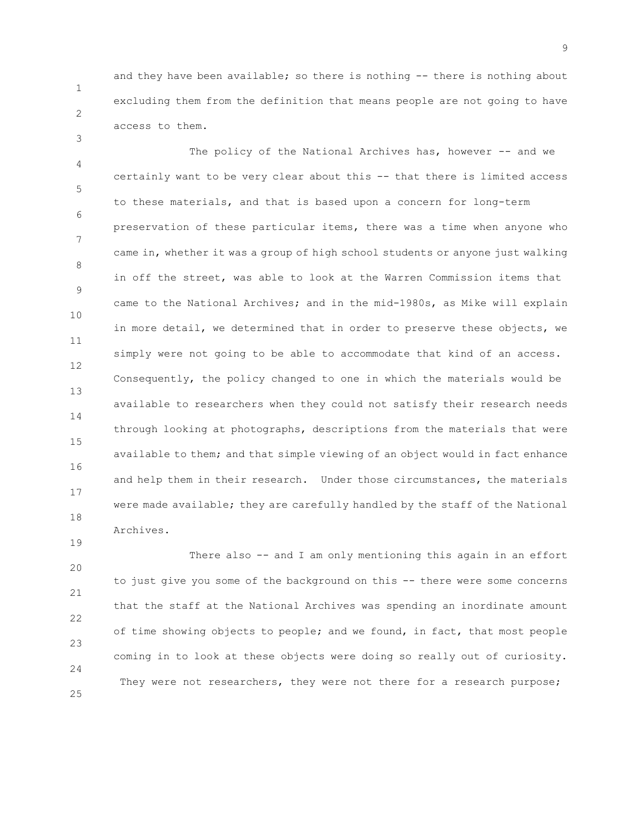and they have been available; so there is nothing -- there is nothing about excluding them from the definition that means people are not going to have access to them.

1

2

3

19

4 5 6 7 8 9 10 11 12 13 14 15 16 17 18 The policy of the National Archives has, however -- and we certainly want to be very clear about this -- that there is limited access to these materials, and that is based upon a concern for long-term preservation of these particular items, there was a time when anyone who came in, whether it was a group of high school students or anyone just walking in off the street, was able to look at the Warren Commission items that came to the National Archives; and in the mid-1980s, as Mike will explain in more detail, we determined that in order to preserve these objects, we simply were not going to be able to accommodate that kind of an access. Consequently, the policy changed to one in which the materials would be available to researchers when they could not satisfy their research needs through looking at photographs, descriptions from the materials that were available to them; and that simple viewing of an object would in fact enhance and help them in their research. Under those circumstances, the materials were made available; they are carefully handled by the staff of the National Archives.

20 21 22 23 24 25 There also -- and I am only mentioning this again in an effort to just give you some of the background on this -- there were some concerns that the staff at the National Archives was spending an inordinate amount of time showing objects to people; and we found, in fact, that most people coming in to look at these objects were doing so really out of curiosity. They were not researchers, they were not there for a research purpose;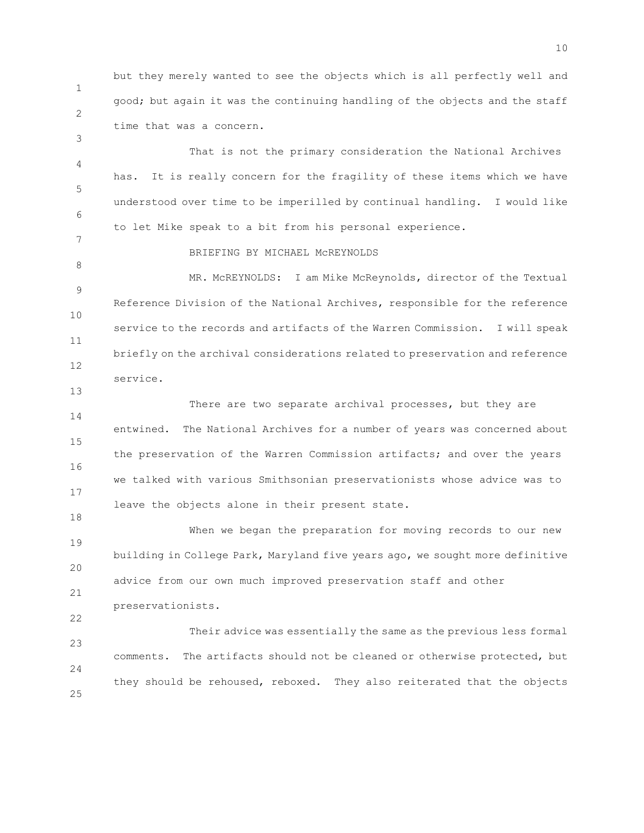1 2 but they merely wanted to see the objects which is all perfectly well and good; but again it was the continuing handling of the objects and the staff time that was a concern.

4 5 6 That is not the primary consideration the National Archives has. It is really concern for the fragility of these items which we have understood over time to be imperilled by continual handling. I would like to let Mike speak to a bit from his personal experience.

BRIEFING BY MICHAEL McREYNOLDS

3

7

8

13

18

22

9 10 11 12 MR. McREYNOLDS: I am Mike McReynolds, director of the Textual Reference Division of the National Archives, responsible for the reference service to the records and artifacts of the Warren Commission. I will speak briefly on the archival considerations related to preservation and reference service.

14 15 16 17 There are two separate archival processes, but they are entwined. The National Archives for a number of years was concerned about the preservation of the Warren Commission artifacts; and over the years we talked with various Smithsonian preservationists whose advice was to leave the objects alone in their present state.

19 20 21 When we began the preparation for moving records to our new building in College Park, Maryland five years ago, we sought more definitive advice from our own much improved preservation staff and other preservationists.

23 24 25 Their advice was essentially the same as the previous less formal comments. The artifacts should not be cleaned or otherwise protected, but they should be rehoused, reboxed. They also reiterated that the objects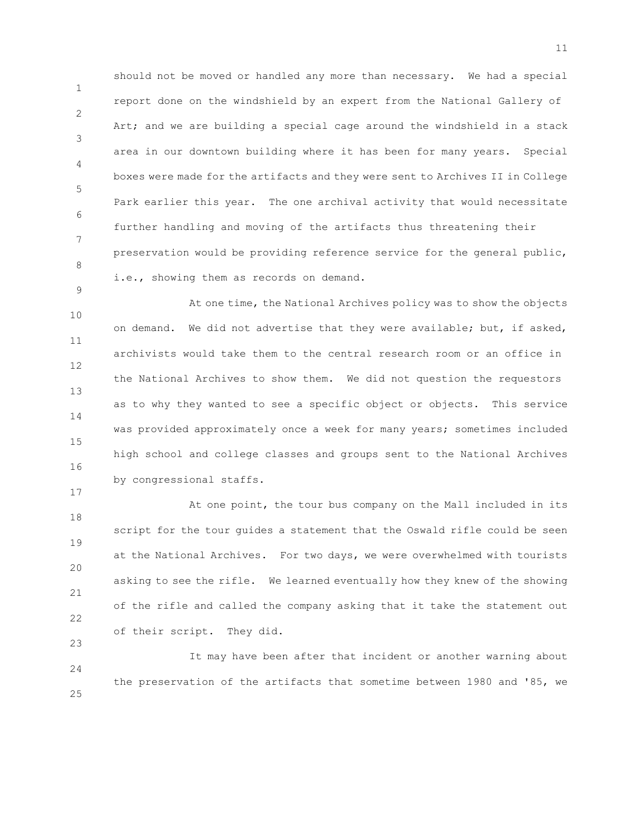1 2 3 4 5 6 7 8 should not be moved or handled any more than necessary. We had a special report done on the windshield by an expert from the National Gallery of Art; and we are building a special cage around the windshield in a stack area in our downtown building where it has been for many years. Special boxes were made for the artifacts and they were sent to Archives II in College Park earlier this year. The one archival activity that would necessitate further handling and moving of the artifacts thus threatening their preservation would be providing reference service for the general public, i.e., showing them as records on demand.

10 11 12 13 14 15 16 At one time, the National Archives policy was to show the objects on demand. We did not advertise that they were available; but, if asked, archivists would take them to the central research room or an office in the National Archives to show them. We did not question the requestors as to why they wanted to see a specific object or objects. This service was provided approximately once a week for many years; sometimes included high school and college classes and groups sent to the National Archives by congressional staffs.

9

17

23

18 19 20 21 22 At one point, the tour bus company on the Mall included in its script for the tour guides a statement that the Oswald rifle could be seen at the National Archives. For two days, we were overwhelmed with tourists asking to see the rifle. We learned eventually how they knew of the showing of the rifle and called the company asking that it take the statement out of their script. They did.

24 25 It may have been after that incident or another warning about the preservation of the artifacts that sometime between 1980 and '85, we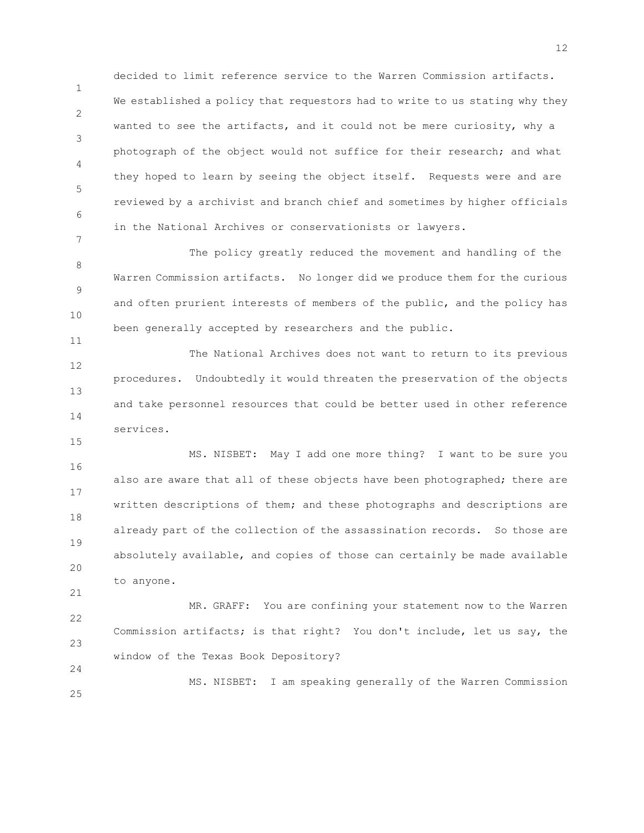1 2 3 4 5 6 7 decided to limit reference service to the Warren Commission artifacts. We established a policy that requestors had to write to us stating why they wanted to see the artifacts, and it could not be mere curiosity, why a photograph of the object would not suffice for their research; and what they hoped to learn by seeing the object itself. Requests were and are reviewed by a archivist and branch chief and sometimes by higher officials in the National Archives or conservationists or lawyers.

8 9 10 The policy greatly reduced the movement and handling of the Warren Commission artifacts. No longer did we produce them for the curious and often prurient interests of members of the public, and the policy has been generally accepted by researchers and the public.

12 13 14 The National Archives does not want to return to its previous procedures. Undoubtedly it would threaten the preservation of the objects and take personnel resources that could be better used in other reference services.

11

15

21

24

16 17 18 19 20 MS. NISBET: May I add one more thing? I want to be sure you also are aware that all of these objects have been photographed; there are written descriptions of them; and these photographs and descriptions are already part of the collection of the assassination records. So those are absolutely available, and copies of those can certainly be made available to anyone.

22 23 MR. GRAFF: You are confining your statement now to the Warren Commission artifacts; is that right? You don't include, let us say, the window of the Texas Book Depository?

25 MS. NISBET: I am speaking generally of the Warren Commission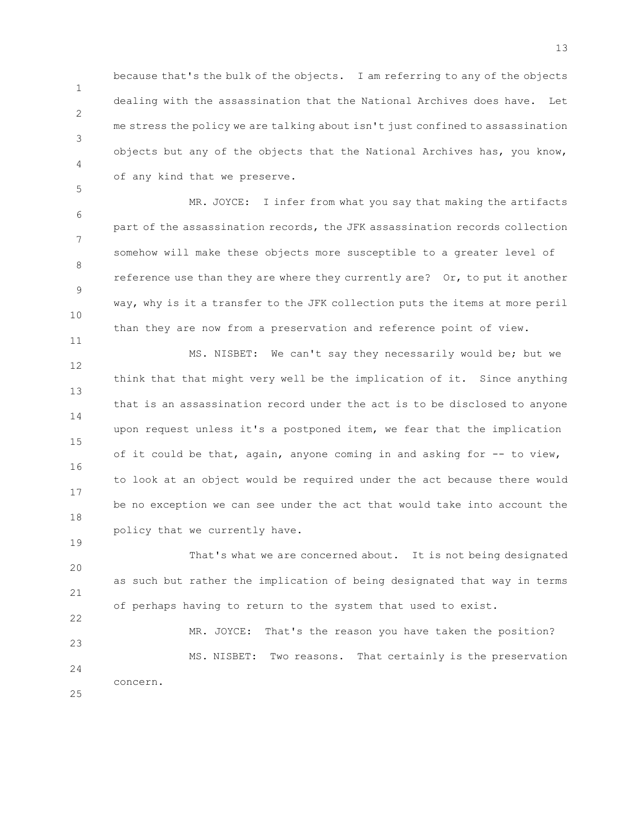because that's the bulk of the objects. I am referring to any of the objects dealing with the assassination that the National Archives does have. Let me stress the policy we are talking about isn't just confined to assassination objects but any of the objects that the National Archives has, you know, of any kind that we preserve.

1

2

3

4

5

11

19

22

6 7 8 9 10 MR. JOYCE: I infer from what you say that making the artifacts part of the assassination records, the JFK assassination records collection somehow will make these objects more susceptible to a greater level of reference use than they are where they currently are? Or, to put it another way, why is it a transfer to the JFK collection puts the items at more peril than they are now from a preservation and reference point of view.

12 13 14 15 16 17 18 MS. NISBET: We can't say they necessarily would be; but we think that that might very well be the implication of it. Since anything that is an assassination record under the act is to be disclosed to anyone upon request unless it's a postponed item, we fear that the implication of it could be that, again, anyone coming in and asking for -- to view, to look at an object would be required under the act because there would be no exception we can see under the act that would take into account the policy that we currently have.

20 21 That's what we are concerned about. It is not being designated as such but rather the implication of being designated that way in terms of perhaps having to return to the system that used to exist.

23  $24$ 25 MR. JOYCE: That's the reason you have taken the position? MS. NISBET: Two reasons. That certainly is the preservation concern.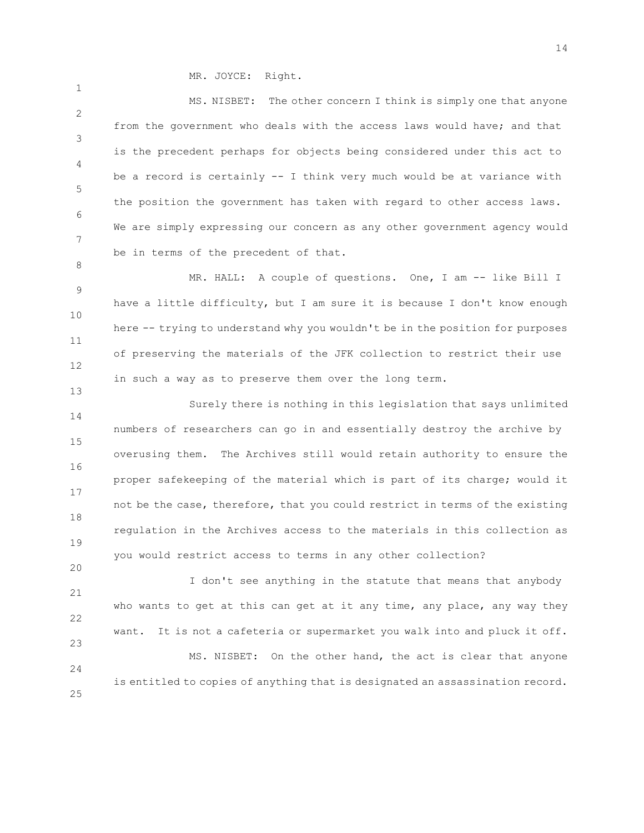MR. JOYCE: Right.

1

8

13

20

2 3 4 5 6 7 MS. NISBET: The other concern I think is simply one that anyone from the government who deals with the access laws would have; and that is the precedent perhaps for objects being considered under this act to be a record is certainly -- I think very much would be at variance with the position the government has taken with regard to other access laws. We are simply expressing our concern as any other government agency would be in terms of the precedent of that.

9 10 11 12 MR. HALL: A couple of questions. One, I am -- like Bill I have a little difficulty, but I am sure it is because I don't know enough here -- trying to understand why you wouldn't be in the position for purposes of preserving the materials of the JFK collection to restrict their use in such a way as to preserve them over the long term.

14 15 16 17 18 19 Surely there is nothing in this legislation that says unlimited numbers of researchers can go in and essentially destroy the archive by overusing them. The Archives still would retain authority to ensure the proper safekeeping of the material which is part of its charge; would it not be the case, therefore, that you could restrict in terms of the existing regulation in the Archives access to the materials in this collection as you would restrict access to terms in any other collection?

21 22 23 I don't see anything in the statute that means that anybody who wants to get at this can get at it any time, any place, any way they want. It is not a cafeteria or supermarket you walk into and pluck it off.

24 25 MS. NISBET: On the other hand, the act is clear that anyone is entitled to copies of anything that is designated an assassination record.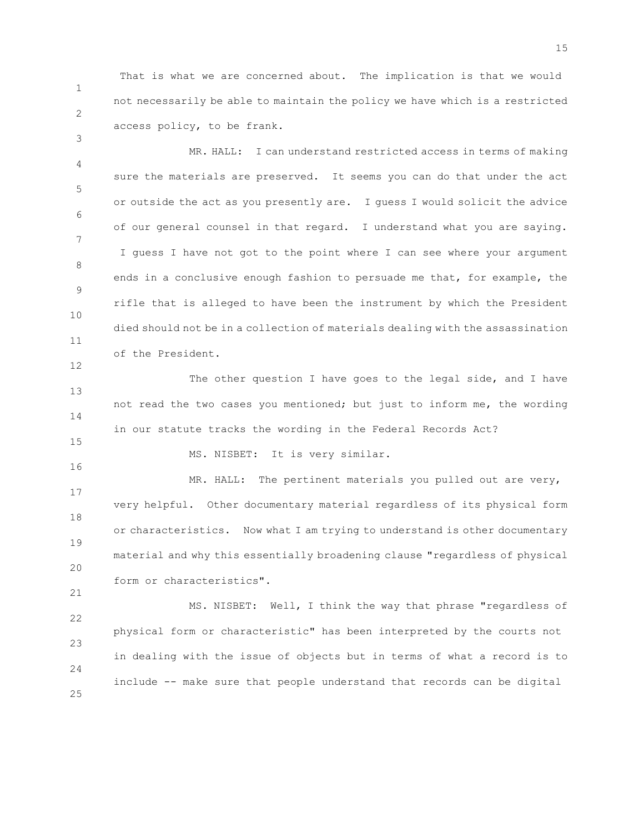That is what we are concerned about. The implication is that we would not necessarily be able to maintain the policy we have which is a restricted access policy, to be frank.

4 5 6 7 8 9 10 11 MR. HALL: I can understand restricted access in terms of making sure the materials are preserved. It seems you can do that under the act or outside the act as you presently are. I guess I would solicit the advice of our general counsel in that regard. I understand what you are saying. I guess I have not got to the point where I can see where your argument ends in a conclusive enough fashion to persuade me that, for example, the rifle that is alleged to have been the instrument by which the President died should not be in a collection of materials dealing with the assassination of the President.

13 14 The other question I have goes to the legal side, and I have not read the two cases you mentioned; but just to inform me, the wording in our statute tracks the wording in the Federal Records Act?

15 16

21

12

1

2

3

MS. NISBET: It is very similar.

17 18 19 20 MR. HALL: The pertinent materials you pulled out are very, very helpful. Other documentary material regardless of its physical form or characteristics. Now what I am trying to understand is other documentary material and why this essentially broadening clause "regardless of physical form or characteristics".

22 23 24 25 MS. NISBET: Well, I think the way that phrase "regardless of physical form or characteristic" has been interpreted by the courts not in dealing with the issue of objects but in terms of what a record is to include -- make sure that people understand that records can be digital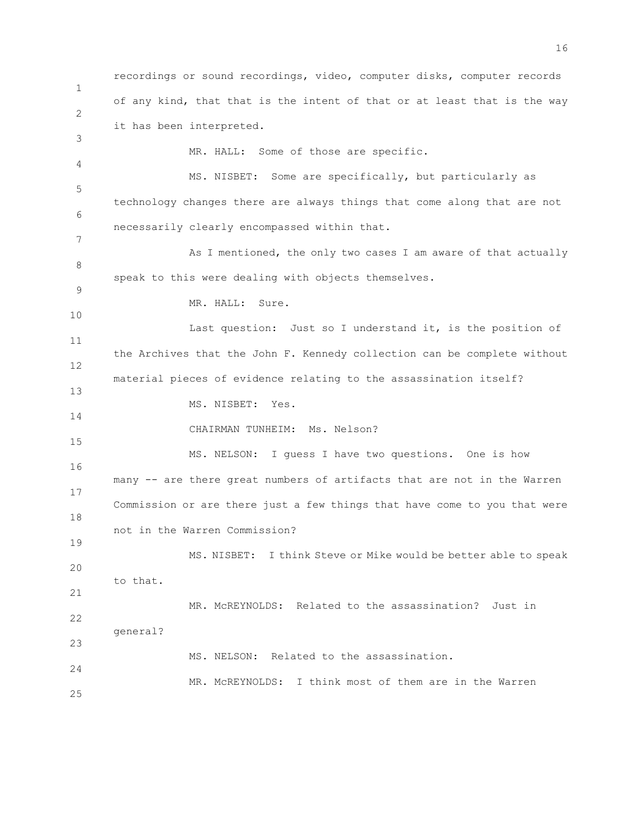1 2 3 4 5 6 7 8 9 10 11 12 13 14 15 16 17 18 19 20 21 22 23 24 25 recordings or sound recordings, video, computer disks, computer records of any kind, that that is the intent of that or at least that is the way it has been interpreted. MR. HALL: Some of those are specific. MS. NISBET: Some are specifically, but particularly as technology changes there are always things that come along that are not necessarily clearly encompassed within that. As I mentioned, the only two cases I am aware of that actually speak to this were dealing with objects themselves. MR. HALL: Sure. Last question: Just so I understand it, is the position of the Archives that the John F. Kennedy collection can be complete without material pieces of evidence relating to the assassination itself? MS. NISBET: Yes. CHAIRMAN TUNHEIM: Ms. Nelson? MS. NELSON: I guess I have two questions. One is how many -- are there great numbers of artifacts that are not in the Warren Commission or are there just a few things that have come to you that were not in the Warren Commission? MS. NISBET: I think Steve or Mike would be better able to speak to that. MR. McREYNOLDS: Related to the assassination? Just in general? MS. NELSON: Related to the assassination. MR. McREYNOLDS: I think most of them are in the Warren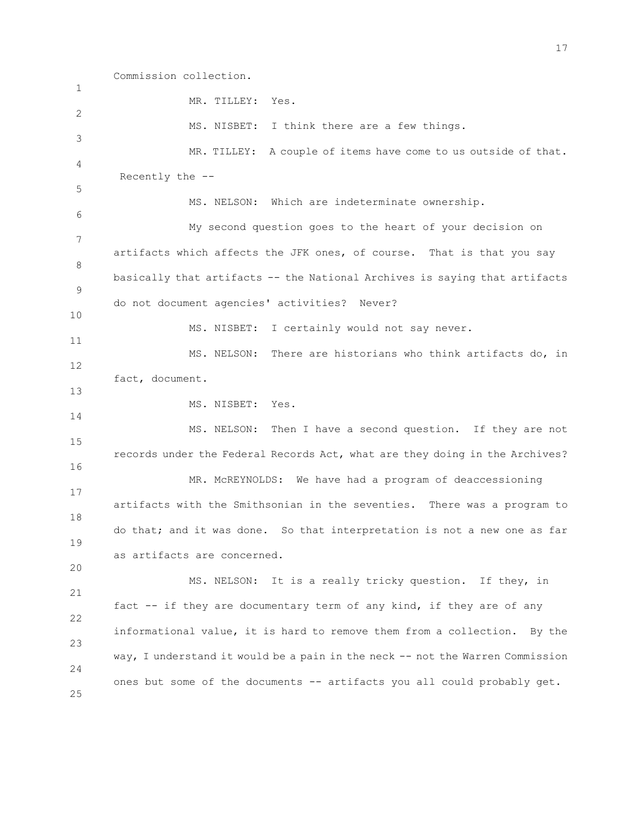Commission collection.

1 2 3 4 5 6 7 8 9 10 11 12 13 14 15 16 17 18 19 20 21 22 23 24 25 MR. TILLEY: Yes. MS. NISBET: I think there are a few things. MR. TILLEY: A couple of items have come to us outside of that. Recently the -- MS. NELSON: Which are indeterminate ownership. My second question goes to the heart of your decision on artifacts which affects the JFK ones, of course. That is that you say basically that artifacts -- the National Archives is saying that artifacts do not document agencies' activities? Never? MS. NISBET: I certainly would not say never. MS. NELSON: There are historians who think artifacts do, in fact, document. MS. NISBET: Yes. MS. NELSON: Then I have a second question. If they are not records under the Federal Records Act, what are they doing in the Archives? MR. McREYNOLDS: We have had a program of deaccessioning artifacts with the Smithsonian in the seventies. There was a program to do that; and it was done. So that interpretation is not a new one as far as artifacts are concerned. MS. NELSON: It is a really tricky question. If they, in fact -- if they are documentary term of any kind, if they are of any informational value, it is hard to remove them from a collection. By the way, I understand it would be a pain in the neck -- not the Warren Commission ones but some of the documents -- artifacts you all could probably get.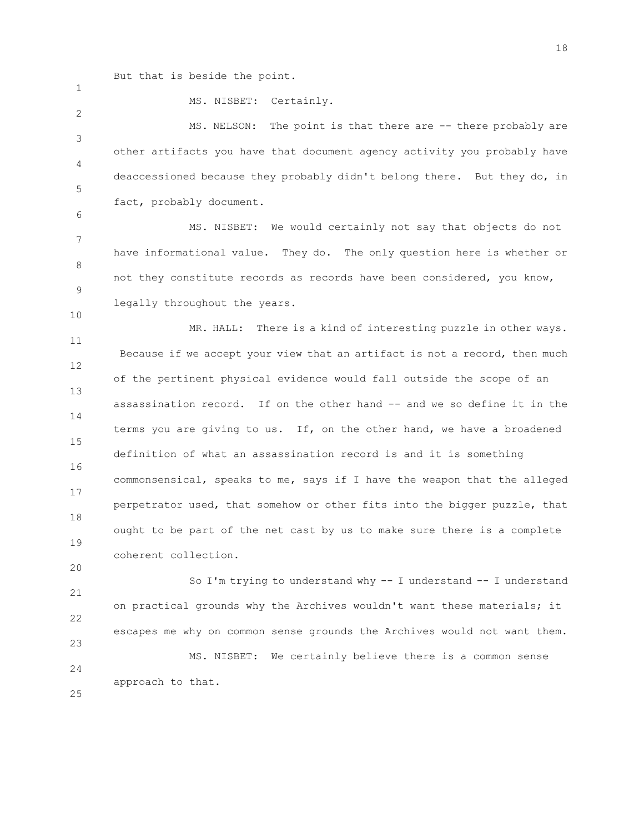But that is beside the point.

2 3 4 5 6 MS. NELSON: The point is that there are -- there probably are other artifacts you have that document agency activity you probably have deaccessioned because they probably didn't belong there. But they do, in fact, probably document.

7 8 9 MS. NISBET: We would certainly not say that objects do not have informational value. They do. The only question here is whether or not they constitute records as records have been considered, you know, legally throughout the years.

11 12 13 14 15 16 17 18 19 MR. HALL: There is a kind of interesting puzzle in other ways. Because if we accept your view that an artifact is not a record, then much of the pertinent physical evidence would fall outside the scope of an assassination record. If on the other hand -- and we so define it in the terms you are giving to us. If, on the other hand, we have a broadened definition of what an assassination record is and it is something commonsensical, speaks to me, says if I have the weapon that the alleged perpetrator used, that somehow or other fits into the bigger puzzle, that ought to be part of the net cast by us to make sure there is a complete coherent collection.

21 22 23 So I'm trying to understand why -- I understand -- I understand on practical grounds why the Archives wouldn't want these materials; it escapes me why on common sense grounds the Archives would not want them.

24 MS. NISBET: We certainly believe there is a common sense approach to that.

10

20

25

1

MS. NISBET: Certainly.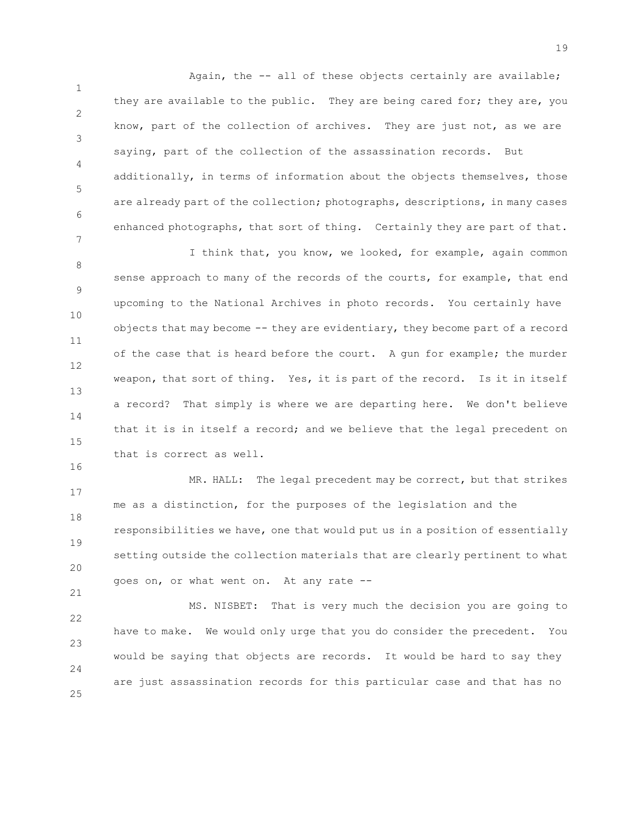1 2 3 4 5 6 Again, the -- all of these objects certainly are available; they are available to the public. They are being cared for; they are, you know, part of the collection of archives. They are just not, as we are saying, part of the collection of the assassination records. But additionally, in terms of information about the objects themselves, those are already part of the collection; photographs, descriptions, in many cases enhanced photographs, that sort of thing. Certainly they are part of that.

7

16

21

8 9 10 11 12 13 14 15 I think that, you know, we looked, for example, again common sense approach to many of the records of the courts, for example, that end upcoming to the National Archives in photo records. You certainly have objects that may become -- they are evidentiary, they become part of a record of the case that is heard before the court. A gun for example; the murder weapon, that sort of thing. Yes, it is part of the record. Is it in itself a record? That simply is where we are departing here. We don't believe that it is in itself a record; and we believe that the legal precedent on that is correct as well.

17 18 19 20 MR. HALL: The legal precedent may be correct, but that strikes me as a distinction, for the purposes of the legislation and the responsibilities we have, one that would put us in a position of essentially setting outside the collection materials that are clearly pertinent to what goes on, or what went on. At any rate --

22 23 24 25 MS. NISBET: That is very much the decision you are going to have to make. We would only urge that you do consider the precedent. You would be saying that objects are records. It would be hard to say they are just assassination records for this particular case and that has no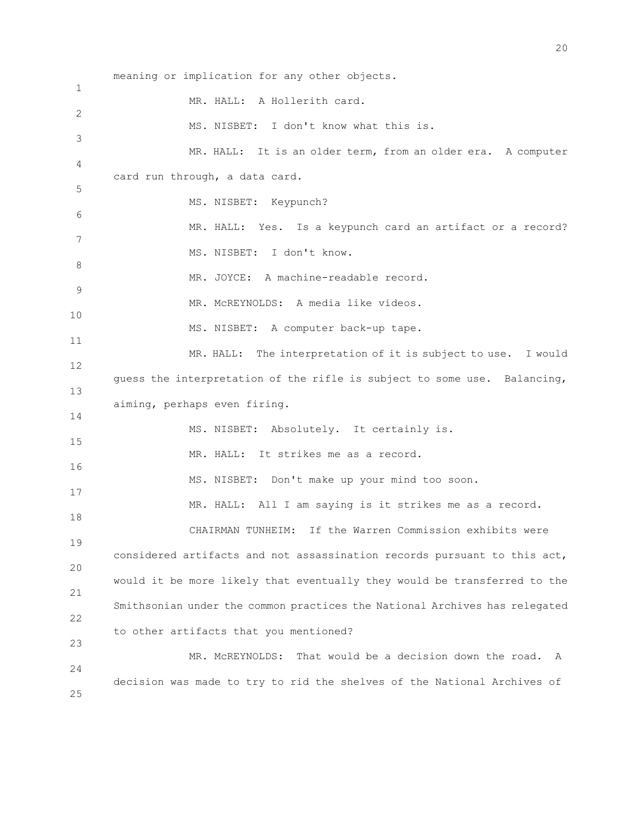1 2 3 4 5 6 7 8 9 10 11 12 13 14 15 16 17 18 19  $20$ 21 22 23  $24$ 25 meaning or implication for any other objects. MR. HALL: A Hollerith card. MS. NISBET: I don't know what this is. MR. HALL: It is an older term, from an older era. A computer card run through, a data card. MS. NISBET: Keypunch? MR. HALL: Yes. Is a keypunch card an artifact or a record? MS. NISBET: I don't know. MR. JOYCE: A machine-readable record. MR. McREYNOLDS: A media like videos. MS. NISBET: A computer back-up tape. MR. HALL: The interpretation of it is subject to use. I would guess the interpretation of the rifle is subject to some use. Balancing, aiming, perhaps even firing. MS. NISBET: Absolutely. It certainly is. MR. HALL: It strikes me as a record. MS. NISBET: Don't make up your mind too soon. MR. HALL: All I am saying is it strikes me as a record. CHAIRMAN TUNHEIM: If the Warren Commission exhibits were considered artifacts and not assassination records pursuant to this act, would it be more likely that eventually they would be transferred to the Smithsonian under the common practices the National Archives has relegated to other artifacts that you mentioned? MR. McREYNOLDS: That would be a decision down the road. A decision was made to try to rid the shelves of the National Archives of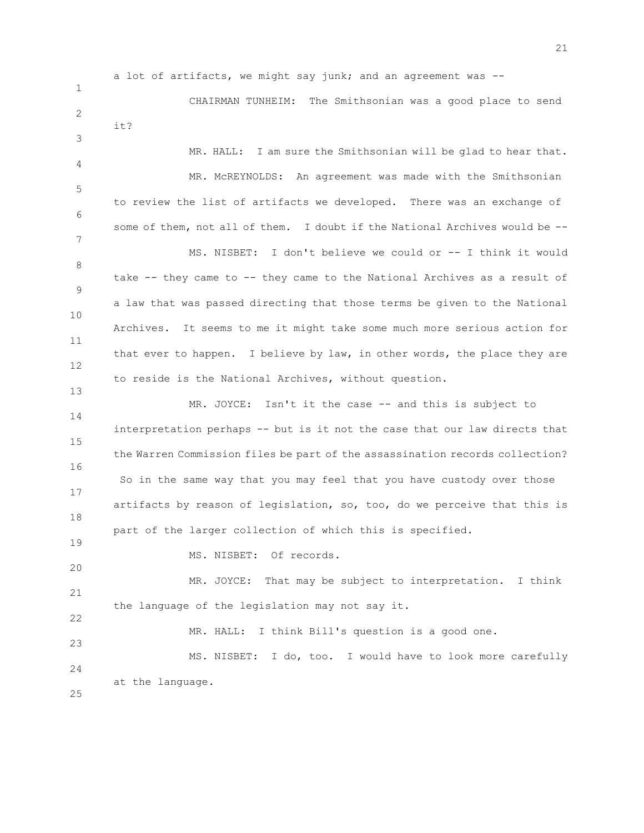1

3

a lot of artifacts, we might say junk; and an agreement was --

2 CHAIRMAN TUNHEIM: The Smithsonian was a good place to send it?

4 5 6 7 8 9 10 11 12 13 MR. HALL: I am sure the Smithsonian will be glad to hear that. MR. McREYNOLDS: An agreement was made with the Smithsonian to review the list of artifacts we developed. There was an exchange of some of them, not all of them. I doubt if the National Archives would be -- MS. NISBET: I don't believe we could or -- I think it would take -- they came to -- they came to the National Archives as a result of a law that was passed directing that those terms be given to the National Archives. It seems to me it might take some much more serious action for that ever to happen. I believe by law, in other words, the place they are to reside is the National Archives, without question.

14 15 16 17 18 MR. JOYCE: Isn't it the case -- and this is subject to interpretation perhaps -- but is it not the case that our law directs that the Warren Commission files be part of the assassination records collection? So in the same way that you may feel that you have custody over those artifacts by reason of legislation, so, too, do we perceive that this is part of the larger collection of which this is specified.

MS. NISBET: Of records.

21 MR. JOYCE: That may be subject to interpretation. I think the language of the legislation may not say it.

23  $24$ 25 MR. HALL: I think Bill's question is a good one. MS. NISBET: I do, too. I would have to look more carefully at the language.

19

20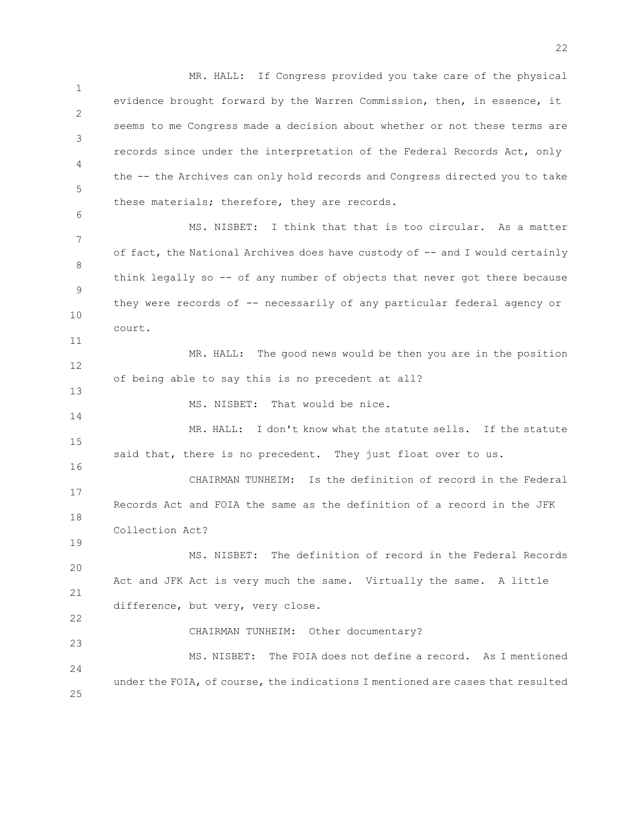1 2 3 4 5 6 7 8 9 10 11 12 13 14 15 16 17 18 19 20 21 22 23 24 25 MR. HALL: If Congress provided you take care of the physical evidence brought forward by the Warren Commission, then, in essence, it seems to me Congress made a decision about whether or not these terms are records since under the interpretation of the Federal Records Act, only the -- the Archives can only hold records and Congress directed you to take these materials; therefore, they are records. MS. NISBET: I think that that is too circular. As a matter of fact, the National Archives does have custody of -- and I would certainly think legally so -- of any number of objects that never got there because they were records of -- necessarily of any particular federal agency or court. MR. HALL: The good news would be then you are in the position of being able to say this is no precedent at all? MS. NISBET: That would be nice. MR. HALL: I don't know what the statute sells. If the statute said that, there is no precedent. They just float over to us. CHAIRMAN TUNHEIM: Is the definition of record in the Federal Records Act and FOIA the same as the definition of a record in the JFK Collection Act? MS. NISBET: The definition of record in the Federal Records Act and JFK Act is very much the same. Virtually the same. A little difference, but very, very close. CHAIRMAN TUNHEIM: Other documentary? MS. NISBET: The FOIA does not define a record. As I mentioned under the FOIA, of course, the indications I mentioned are cases that resulted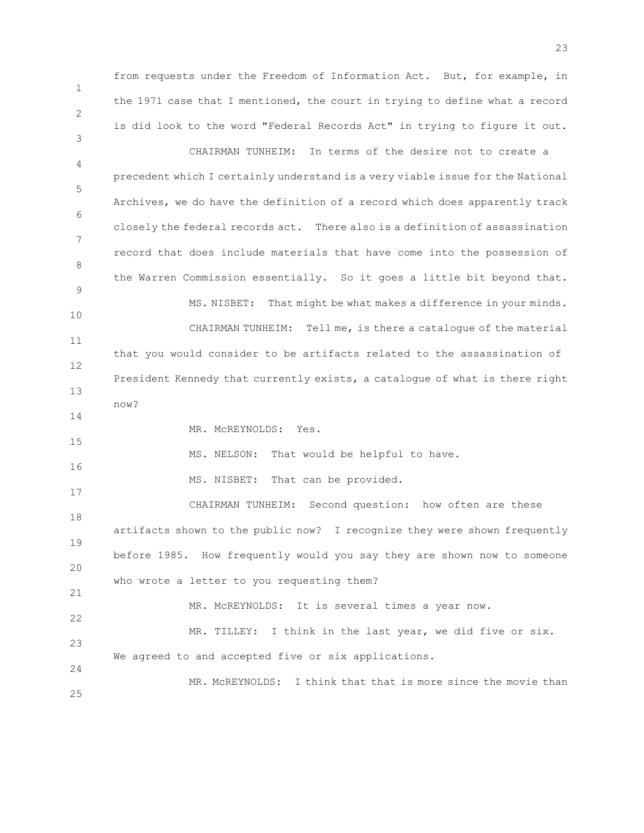from requests under the Freedom of Information Act. But, for example, in the 1971 case that I mentioned, the court in trying to define what a record is did look to the word "Federal Records Act" in trying to figure it out.

4 5 6 7 8 9 10 11 12 13 CHAIRMAN TUNHEIM: In terms of the desire not to create a precedent which I certainly understand is a very viable issue for the National Archives, we do have the definition of a record which does apparently track closely the federal records act. There also is a definition of assassination record that does include materials that have come into the possession of the Warren Commission essentially. So it goes a little bit beyond that. MS. NISBET: That might be what makes a difference in your minds. CHAIRMAN TUNHEIM: Tell me, is there a catalogue of the material that you would consider to be artifacts related to the assassination of President Kennedy that currently exists, a catalogue of what is there right now?

MR. McREYNOLDS: Yes.

1

2

3

14

15

16

17

MS. NELSON: That would be helpful to have.

MS. NISBET: That can be provided.

18 19 20 21 CHAIRMAN TUNHEIM: Second question: how often are these artifacts shown to the public now? I recognize they were shown frequently before 1985. How frequently would you say they are shown now to someone who wrote a letter to you requesting them?

22 23 24 MR. McREYNOLDS: It is several times a year now. MR. TILLEY: I think in the last year, we did five or six. We agreed to and accepted five or six applications.

25 MR. McREYNOLDS: I think that that is more since the movie than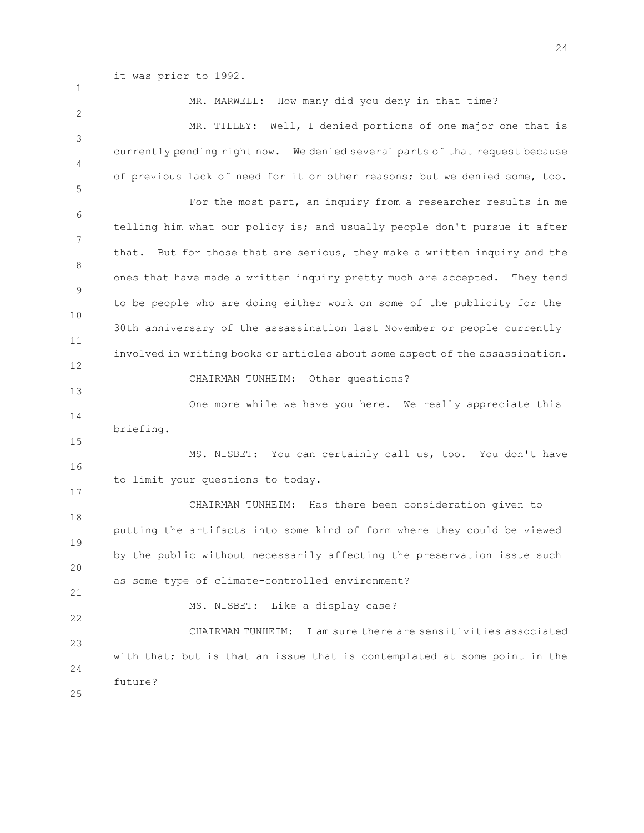it was prior to 1992.

1 2 3 4 5 6 7 8 9 10 11 12 13 14 15 16 17 18 19 20 21 22 23 24 25 MR. MARWELL: How many did you deny in that time? MR. TILLEY: Well, I denied portions of one major one that is currently pending right now. We denied several parts of that request because of previous lack of need for it or other reasons; but we denied some, too. For the most part, an inquiry from a researcher results in me telling him what our policy is; and usually people don't pursue it after that. But for those that are serious, they make a written inquiry and the ones that have made a written inquiry pretty much are accepted. They tend to be people who are doing either work on some of the publicity for the 30th anniversary of the assassination last November or people currently involved in writing books or articles about some aspect of the assassination. CHAIRMAN TUNHEIM: Other questions? One more while we have you here. We really appreciate this briefing. MS. NISBET: You can certainly call us, too. You don't have to limit your questions to today. CHAIRMAN TUNHEIM: Has there been consideration given to putting the artifacts into some kind of form where they could be viewed by the public without necessarily affecting the preservation issue such as some type of climate-controlled environment? MS. NISBET: Like a display case? CHAIRMAN TUNHEIM: I am sure there are sensitivities associated with that; but is that an issue that is contemplated at some point in the future?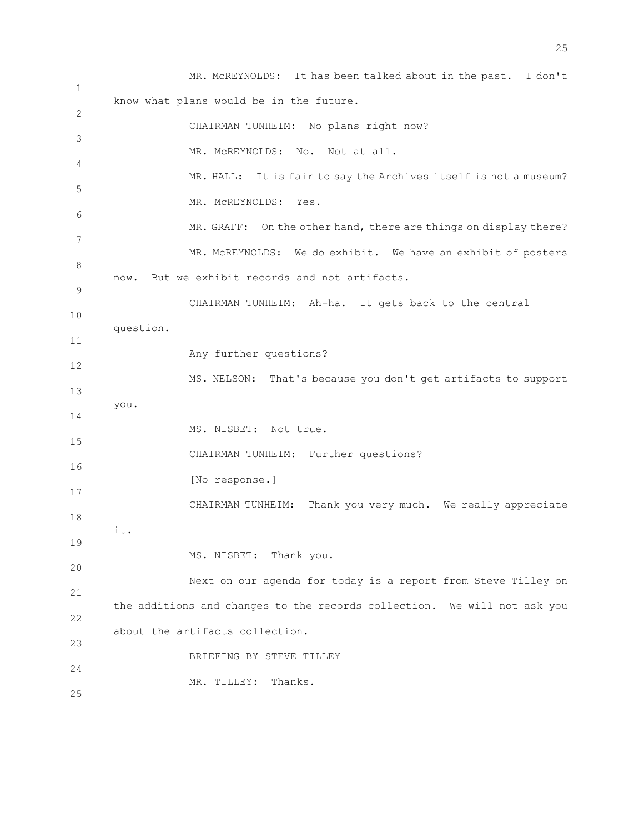1 2 3 4 5 6 7 8 9 10 11 12 13 14 15 16 17 18 19 20 21 22 23 24 25 MR. McREYNOLDS: It has been talked about in the past. I don't know what plans would be in the future. CHAIRMAN TUNHEIM: No plans right now? MR. McREYNOLDS: No. Not at all. MR. HALL: It is fair to say the Archives itself is not a museum? MR. McREYNOLDS: Yes. MR. GRAFF: On the other hand, there are things on display there? MR. McREYNOLDS: We do exhibit. We have an exhibit of posters now. But we exhibit records and not artifacts. CHAIRMAN TUNHEIM: Ah-ha. It gets back to the central question. Any further questions? MS. NELSON: That's because you don't get artifacts to support you. MS. NISBET: Not true. CHAIRMAN TUNHEIM: Further questions? [No response.] CHAIRMAN TUNHEIM: Thank you very much. We really appreciate it. MS. NISBET: Thank you. Next on our agenda for today is a report from Steve Tilley on the additions and changes to the records collection. We will not ask you about the artifacts collection. BRIEFING BY STEVE TILLEY MR. TILLEY: Thanks.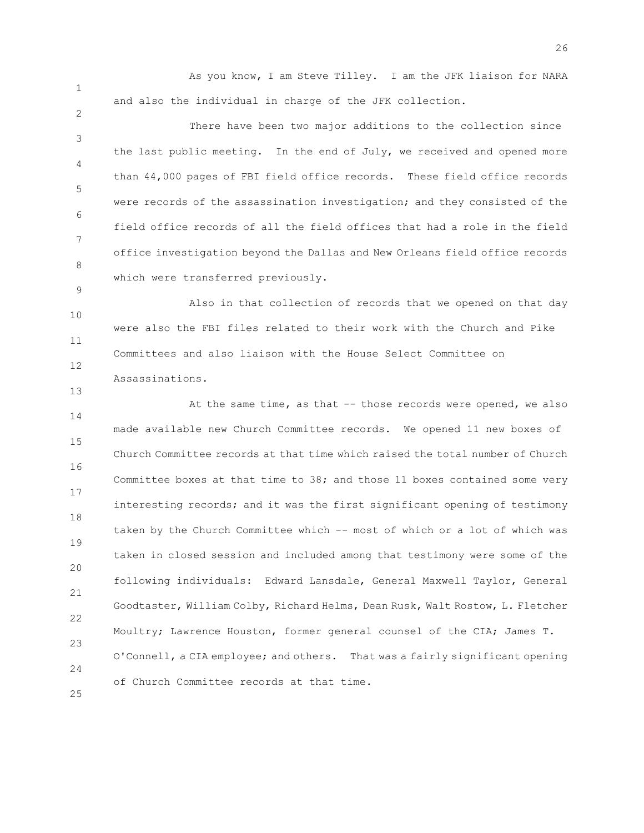As you know, I am Steve Tilley. I am the JFK liaison for NARA and also the individual in charge of the JFK collection.

3 4 5 6 7 8 There have been two major additions to the collection since the last public meeting. In the end of July, we received and opened more than 44,000 pages of FBI field office records. These field office records were records of the assassination investigation; and they consisted of the field office records of all the field offices that had a role in the field office investigation beyond the Dallas and New Orleans field office records which were transferred previously.

10 11 12 Also in that collection of records that we opened on that day were also the FBI files related to their work with the Church and Pike Committees and also liaison with the House Select Committee on Assassinations.

14 15 16 17 18 19 20 21 22 23 24 At the same time, as that -- those records were opened, we also made available new Church Committee records. We opened 11 new boxes of Church Committee records at that time which raised the total number of Church Committee boxes at that time to 38; and those 11 boxes contained some very interesting records; and it was the first significant opening of testimony taken by the Church Committee which -- most of which or a lot of which was taken in closed session and included among that testimony were some of the following individuals: Edward Lansdale, General Maxwell Taylor, General Goodtaster, William Colby, Richard Helms, Dean Rusk, Walt Rostow, L. Fletcher Moultry; Lawrence Houston, former general counsel of the CIA; James T. O'Connell, a CIA employee; and others. That was a fairly significant opening of Church Committee records at that time.

25

1

2

9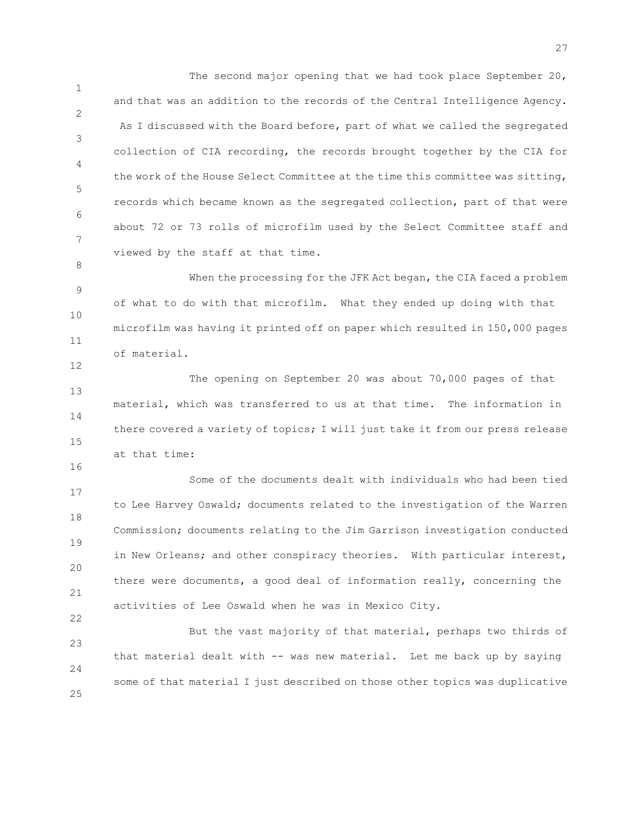1 2 3 4 5 6 7 The second major opening that we had took place September 20, and that was an addition to the records of the Central Intelligence Agency. As I discussed with the Board before, part of what we called the segregated collection of CIA recording, the records brought together by the CIA for the work of the House Select Committee at the time this committee was sitting, records which became known as the segregated collection, part of that were about 72 or 73 rolls of microfilm used by the Select Committee staff and viewed by the staff at that time.

9 10 11 When the processing for the JFK Act began, the CIA faced a problem of what to do with that microfilm. What they ended up doing with that microfilm was having it printed off on paper which resulted in 150,000 pages of material.

8

12

16

22

13 14 15 The opening on September 20 was about 70,000 pages of that material, which was transferred to us at that time. The information in there covered a variety of topics; I will just take it from our press release at that time:

17 18 19 20 21 Some of the documents dealt with individuals who had been tied to Lee Harvey Oswald; documents related to the investigation of the Warren Commission; documents relating to the Jim Garrison investigation conducted in New Orleans; and other conspiracy theories. With particular interest, there were documents, a good deal of information really, concerning the activities of Lee Oswald when he was in Mexico City.

23 24 25 But the vast majority of that material, perhaps two thirds of that material dealt with -- was new material. Let me back up by saying some of that material I just described on those other topics was duplicative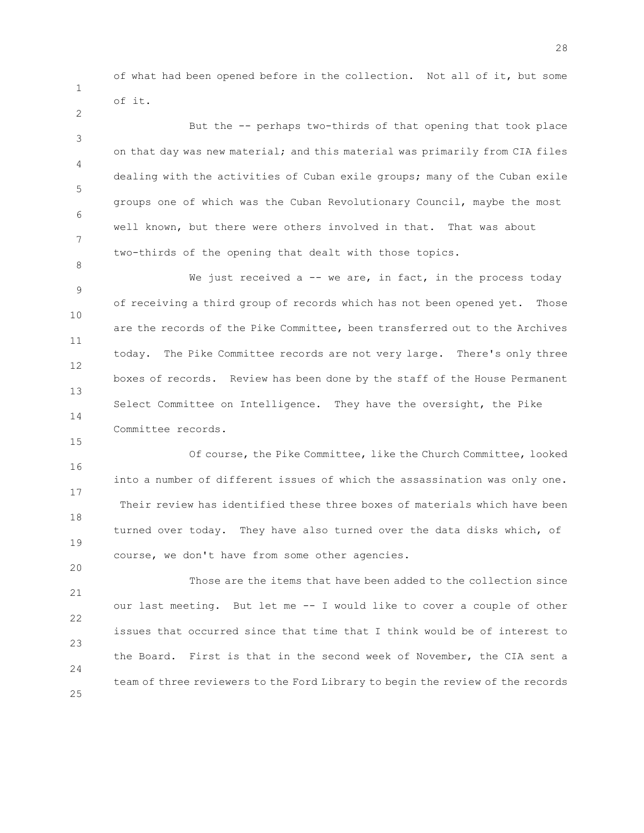1

2

8

15

20

of what had been opened before in the collection. Not all of it, but some of it.

3 4 5 6 7 But the -- perhaps two-thirds of that opening that took place on that day was new material; and this material was primarily from CIA files dealing with the activities of Cuban exile groups; many of the Cuban exile groups one of which was the Cuban Revolutionary Council, maybe the most well known, but there were others involved in that. That was about two-thirds of the opening that dealt with those topics.

9 10 11 12 13 14 We just received a  $--$  we are, in fact, in the process today of receiving a third group of records which has not been opened yet. Those are the records of the Pike Committee, been transferred out to the Archives today. The Pike Committee records are not very large. There's only three boxes of records. Review has been done by the staff of the House Permanent Select Committee on Intelligence. They have the oversight, the Pike Committee records.

16 17 18 19 Of course, the Pike Committee, like the Church Committee, looked into a number of different issues of which the assassination was only one. Their review has identified these three boxes of materials which have been turned over today. They have also turned over the data disks which, of course, we don't have from some other agencies.

21 22 23 24 25 Those are the items that have been added to the collection since our last meeting. But let me -- I would like to cover a couple of other issues that occurred since that time that I think would be of interest to the Board. First is that in the second week of November, the CIA sent a team of three reviewers to the Ford Library to begin the review of the records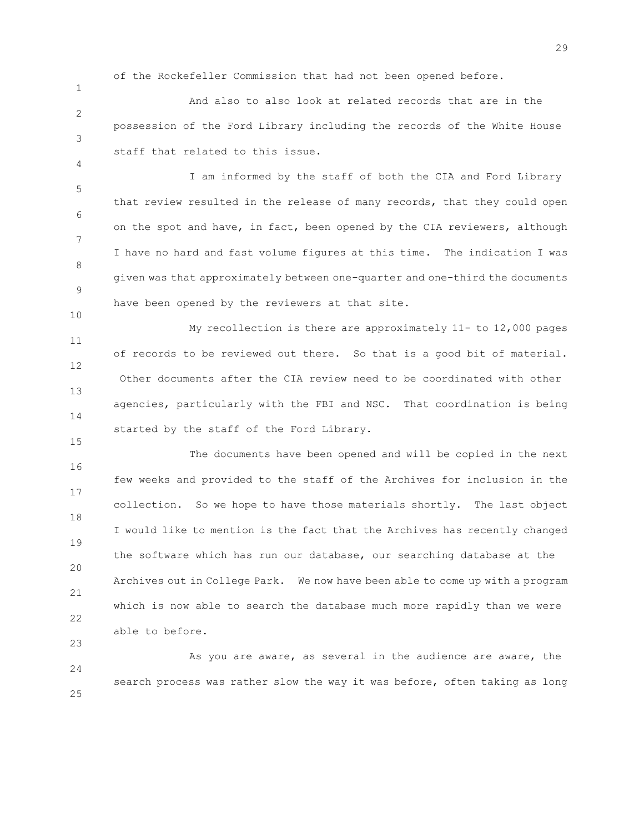of the Rockefeller Commission that had not been opened before.

1

4

10

15

23

2 3 And also to also look at related records that are in the possession of the Ford Library including the records of the White House staff that related to this issue.

5 6 7 8 9 I am informed by the staff of both the CIA and Ford Library that review resulted in the release of many records, that they could open on the spot and have, in fact, been opened by the CIA reviewers, although I have no hard and fast volume figures at this time. The indication I was given was that approximately between one-quarter and one-third the documents have been opened by the reviewers at that site.

11 12 13 14 My recollection is there are approximately 11- to 12,000 pages of records to be reviewed out there. So that is a good bit of material. Other documents after the CIA review need to be coordinated with other agencies, particularly with the FBI and NSC. That coordination is being started by the staff of the Ford Library.

16 17 18 19 20 21 22 The documents have been opened and will be copied in the next few weeks and provided to the staff of the Archives for inclusion in the collection. So we hope to have those materials shortly. The last object I would like to mention is the fact that the Archives has recently changed the software which has run our database, our searching database at the Archives out in College Park. We now have been able to come up with a program which is now able to search the database much more rapidly than we were able to before.

24 25 As you are aware, as several in the audience are aware, the search process was rather slow the way it was before, often taking as long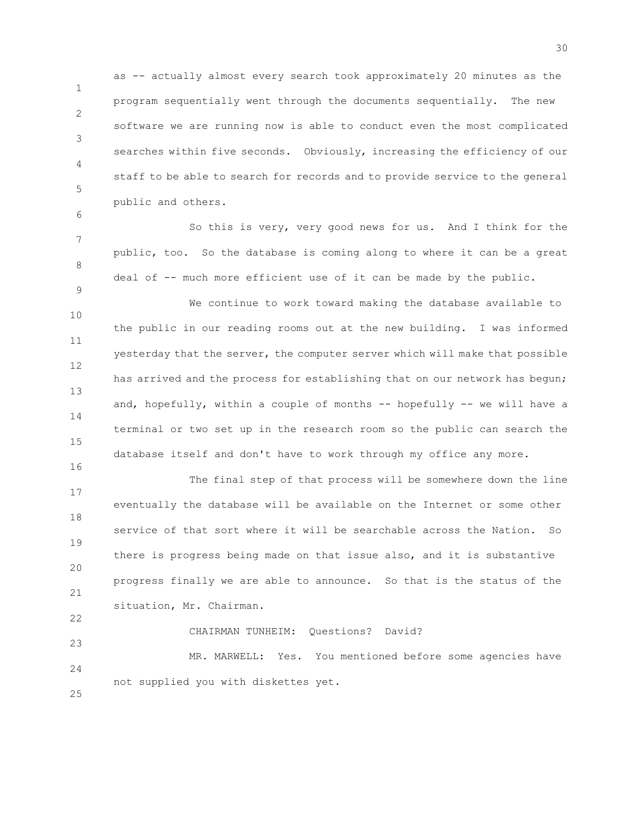as -- actually almost every search took approximately 20 minutes as the program sequentially went through the documents sequentially. The new software we are running now is able to conduct even the most complicated searches within five seconds. Obviously, increasing the efficiency of our staff to be able to search for records and to provide service to the general public and others.

8 So this is very, very good news for us. And I think for the public, too. So the database is coming along to where it can be a great deal of -- much more efficient use of it can be made by the public.

10 11 12 13 14 15 We continue to work toward making the database available to the public in our reading rooms out at the new building. I was informed yesterday that the server, the computer server which will make that possible has arrived and the process for establishing that on our network has begun; and, hopefully, within a couple of months -- hopefully -- we will have a terminal or two set up in the research room so the public can search the database itself and don't have to work through my office any more.

17 18 19 20 21 The final step of that process will be somewhere down the line eventually the database will be available on the Internet or some other service of that sort where it will be searchable across the Nation. So there is progress being made on that issue also, and it is substantive progress finally we are able to announce. So that is the status of the situation, Mr. Chairman.

CHAIRMAN TUNHEIM: Questions? David?

24 MR. MARWELL: Yes. You mentioned before some agencies have not supplied you with diskettes yet.

25

22

23

1

2

3

4

5

6

7

9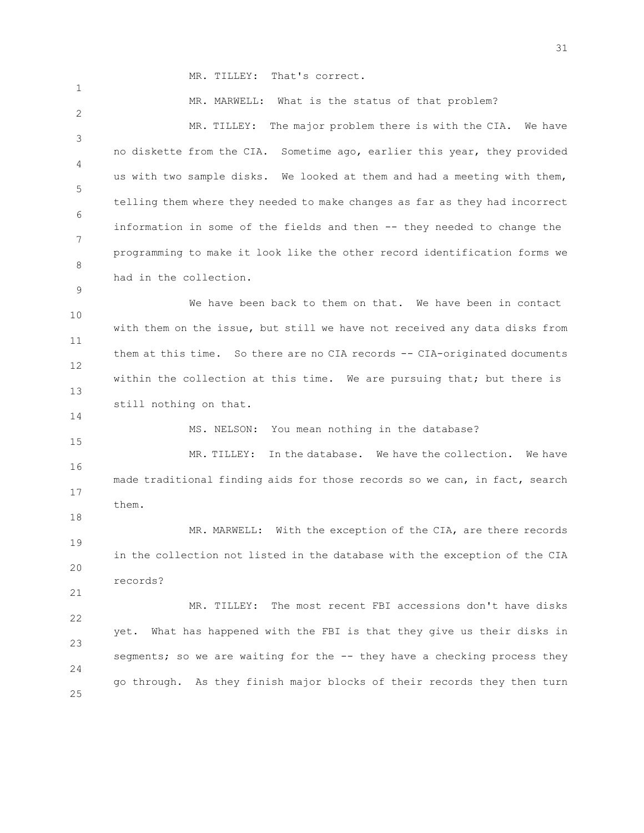MR. TILLEY: That's correct.

1

14

15

18

21

2 3 4 5 6 7 8 9 MR. MARWELL: What is the status of that problem? MR. TILLEY: The major problem there is with the CIA. We have no diskette from the CIA. Sometime ago, earlier this year, they provided us with two sample disks. We looked at them and had a meeting with them, telling them where they needed to make changes as far as they had incorrect information in some of the fields and then -- they needed to change the programming to make it look like the other record identification forms we had in the collection. We have been back to them on that. We have been in contact

10 11 12 13 with them on the issue, but still we have not received any data disks from them at this time. So there are no CIA records -- CIA-originated documents within the collection at this time. We are pursuing that; but there is still nothing on that.

MS. NELSON: You mean nothing in the database?

16 17 MR. TILLEY: In the database. We have the collection. We have made traditional finding aids for those records so we can, in fact, search them.

19 20 MR. MARWELL: With the exception of the CIA, are there records in the collection not listed in the database with the exception of the CIA records?

22 23 24 25 MR. TILLEY: The most recent FBI accessions don't have disks yet. What has happened with the FBI is that they give us their disks in segments; so we are waiting for the -- they have a checking process they go through. As they finish major blocks of their records they then turn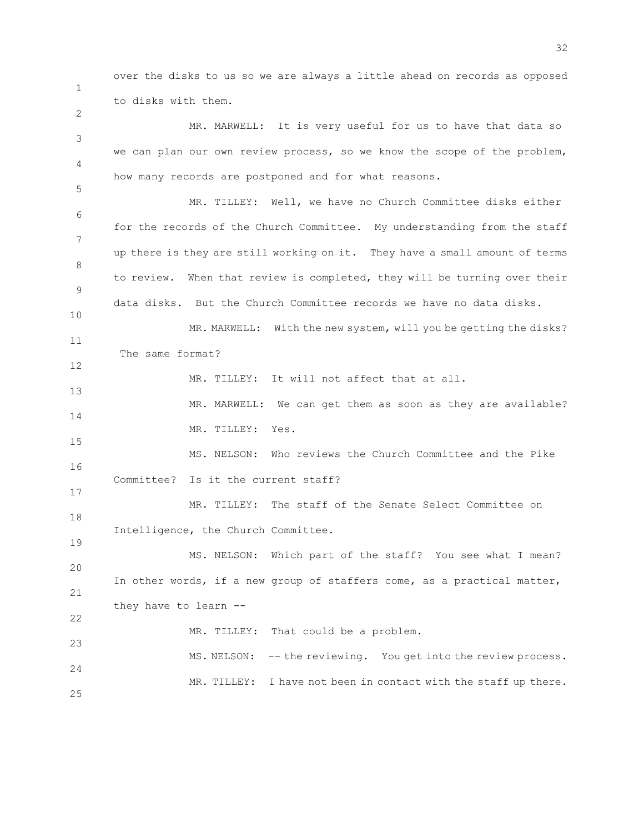over the disks to us so we are always a little ahead on records as opposed to disks with them.

1

2

3 4 5 6 7 8 9 10 11 12 13 14 15 16 17 18 19 20 21 22 23 24 25 MR. MARWELL: It is very useful for us to have that data so we can plan our own review process, so we know the scope of the problem, how many records are postponed and for what reasons. MR. TILLEY: Well, we have no Church Committee disks either for the records of the Church Committee. My understanding from the staff up there is they are still working on it. They have a small amount of terms to review. When that review is completed, they will be turning over their data disks. But the Church Committee records we have no data disks. MR. MARWELL: With the new system, will you be getting the disks? The same format? MR. TILLEY: It will not affect that at all. MR. MARWELL: We can get them as soon as they are available? MR. TILLEY: Yes. MS. NELSON: Who reviews the Church Committee and the Pike Committee? Is it the current staff? MR. TILLEY: The staff of the Senate Select Committee on Intelligence, the Church Committee. MS. NELSON: Which part of the staff? You see what I mean? In other words, if a new group of staffers come, as a practical matter, they have to learn -- MR. TILLEY: That could be a problem. MS. NELSON: -- the reviewing. You get into the review process. MR. TILLEY: I have not been in contact with the staff up there.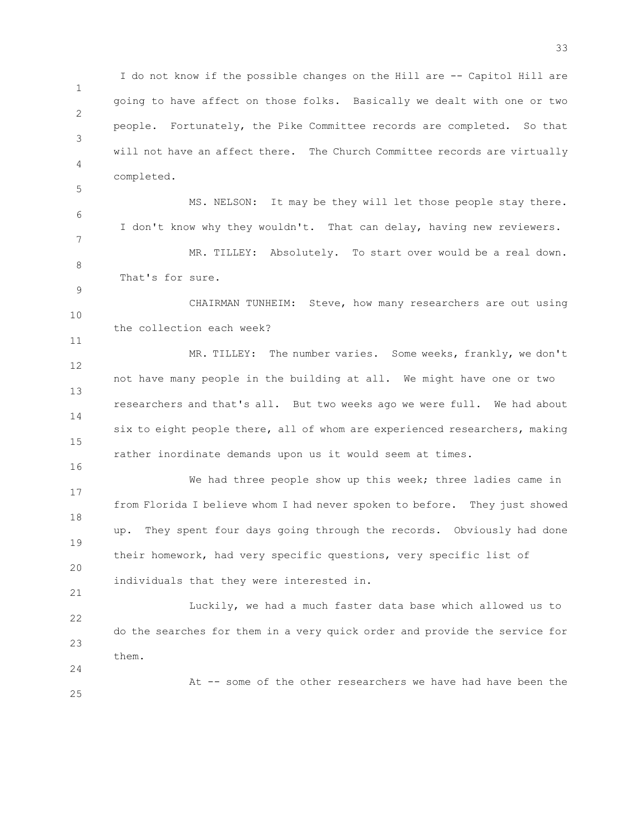1 2 3 4 I do not know if the possible changes on the Hill are -- Capitol Hill are going to have affect on those folks. Basically we dealt with one or two people. Fortunately, the Pike Committee records are completed. So that will not have an affect there. The Church Committee records are virtually completed.

MS. NELSON: It may be they will let those people stay there. I don't know why they wouldn't. That can delay, having new reviewers.

8 MR. TILLEY: Absolutely. To start over would be a real down. That's for sure.

10 CHAIRMAN TUNHEIM: Steve, how many researchers are out using the collection each week?

12 13 14 15 MR. TILLEY: The number varies. Some weeks, frankly, we don't not have many people in the building at all. We might have one or two researchers and that's all. But two weeks ago we were full. We had about six to eight people there, all of whom are experienced researchers, making rather inordinate demands upon us it would seem at times.

17 18 19 20 We had three people show up this week; three ladies came in from Florida I believe whom I had never spoken to before. They just showed up. They spent four days going through the records. Obviously had done their homework, had very specific questions, very specific list of individuals that they were interested in.

22 23 Luckily, we had a much faster data base which allowed us to do the searches for them in a very quick order and provide the service for them.

At -- some of the other researchers we have had have been the

25

24

21

5

6

7

9

11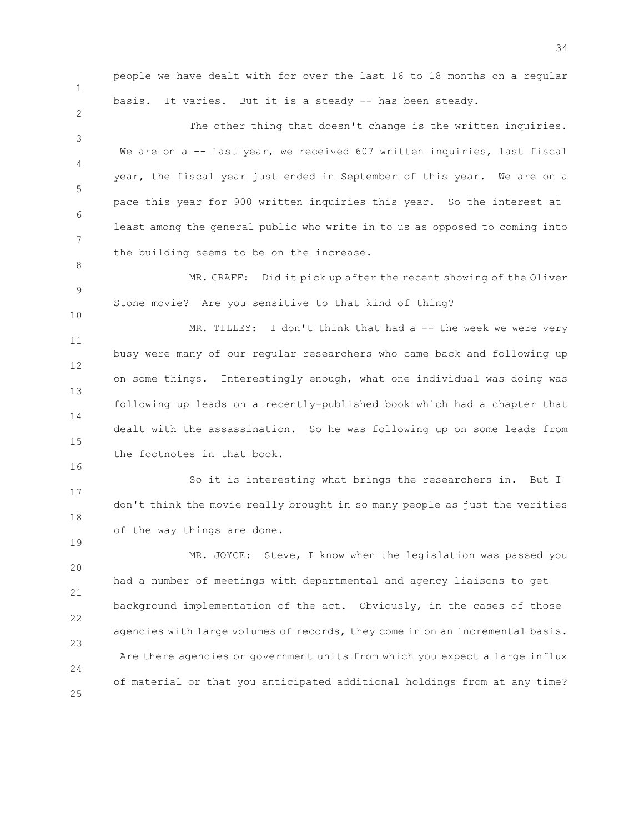1

2

8

10

16

19

people we have dealt with for over the last 16 to 18 months on a regular basis. It varies. But it is a steady -- has been steady.

3 4 5 6 7 The other thing that doesn't change is the written inquiries. We are on a -- last year, we received 607 written inquiries, last fiscal year, the fiscal year just ended in September of this year. We are on a pace this year for 900 written inquiries this year. So the interest at least among the general public who write in to us as opposed to coming into the building seems to be on the increase.

9 MR. GRAFF: Did it pick up after the recent showing of the Oliver Stone movie? Are you sensitive to that kind of thing?

11 12 13 14 15 MR. TILLEY: I don't think that had a -- the week we were very busy were many of our regular researchers who came back and following up on some things. Interestingly enough, what one individual was doing was following up leads on a recently-published book which had a chapter that dealt with the assassination. So he was following up on some leads from the footnotes in that book.

17 18 So it is interesting what brings the researchers in. But I don't think the movie really brought in so many people as just the verities of the way things are done.

20 21 22 23 24 25 MR. JOYCE: Steve, I know when the legislation was passed you had a number of meetings with departmental and agency liaisons to get background implementation of the act. Obviously, in the cases of those agencies with large volumes of records, they come in on an incremental basis. Are there agencies or government units from which you expect a large influx of material or that you anticipated additional holdings from at any time?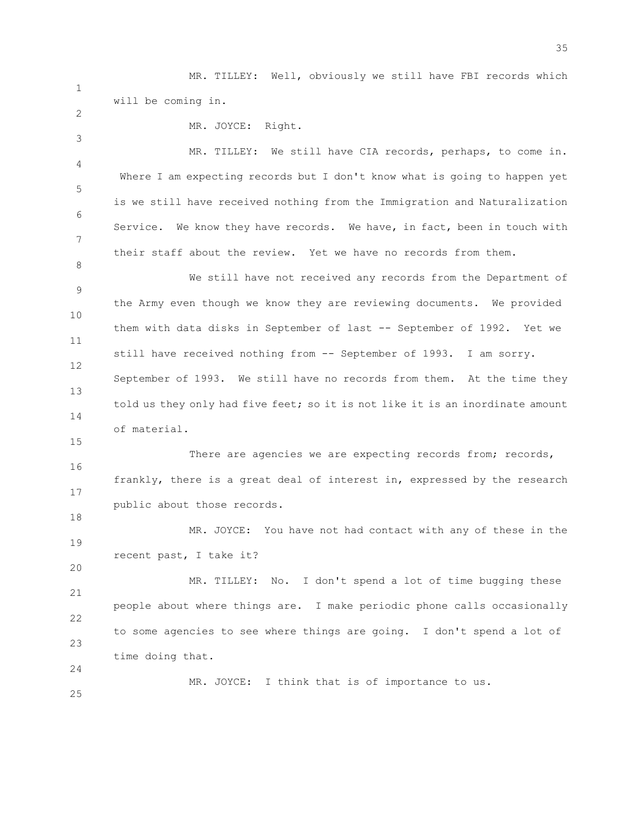1 MR. TILLEY: Well, obviously we still have FBI records which will be coming in.

2

3

8

15

18

20

MR. JOYCE: Right.

4 5 6 7 MR. TILLEY: We still have CIA records, perhaps, to come in. Where I am expecting records but I don't know what is going to happen yet is we still have received nothing from the Immigration and Naturalization Service. We know they have records. We have, in fact, been in touch with their staff about the review. Yet we have no records from them.

9 10 11 12 13 14 We still have not received any records from the Department of the Army even though we know they are reviewing documents. We provided them with data disks in September of last -- September of 1992. Yet we still have received nothing from -- September of 1993. I am sorry. September of 1993. We still have no records from them. At the time they told us they only had five feet; so it is not like it is an inordinate amount of material.

16 17 There are agencies we are expecting records from; records, frankly, there is a great deal of interest in, expressed by the research public about those records.

19 MR. JOYCE: You have not had contact with any of these in the recent past, I take it?

21 22 23 24 MR. TILLEY: No. I don't spend a lot of time bugging these people about where things are. I make periodic phone calls occasionally to some agencies to see where things are going. I don't spend a lot of time doing that.

MR. JOYCE: I think that is of importance to us.

25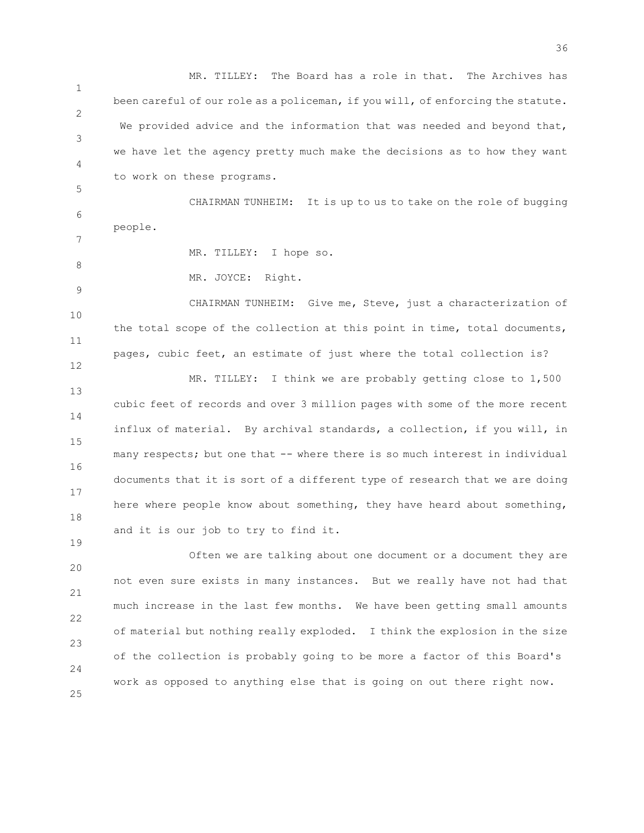1 2 3 4 5 6 7 8 9 10 11 12 13 14 15 16 17 18 19 20 21 22 23 24 MR. TILLEY: The Board has a role in that. The Archives has been careful of our role as a policeman, if you will, of enforcing the statute. We provided advice and the information that was needed and beyond that, we have let the agency pretty much make the decisions as to how they want to work on these programs. CHAIRMAN TUNHEIM: It is up to us to take on the role of bugging people. MR. TILLEY: I hope so. MR. JOYCE: Right. CHAIRMAN TUNHEIM: Give me, Steve, just a characterization of the total scope of the collection at this point in time, total documents, pages, cubic feet, an estimate of just where the total collection is? MR. TILLEY: I think we are probably getting close to 1,500 cubic feet of records and over 3 million pages with some of the more recent influx of material. By archival standards, a collection, if you will, in many respects; but one that -- where there is so much interest in individual documents that it is sort of a different type of research that we are doing here where people know about something, they have heard about something, and it is our job to try to find it. Often we are talking about one document or a document they are not even sure exists in many instances. But we really have not had that much increase in the last few months. We have been getting small amounts of material but nothing really exploded. I think the explosion in the size of the collection is probably going to be more a factor of this Board's work as opposed to anything else that is going on out there right now.

25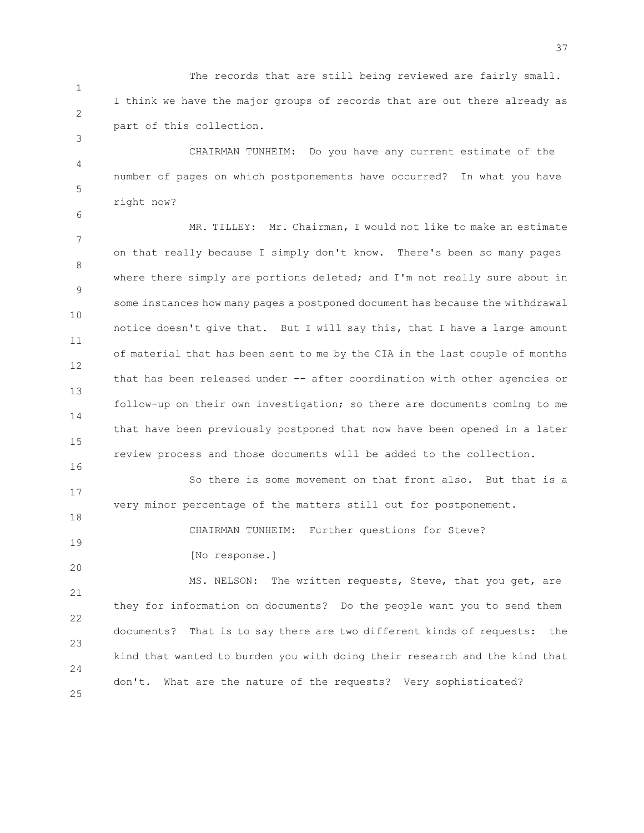1 2 The records that are still being reviewed are fairly small. I think we have the major groups of records that are out there already as part of this collection.

4 5 CHAIRMAN TUNHEIM: Do you have any current estimate of the number of pages on which postponements have occurred? In what you have right now?

7 8 9 10 11 12 13 14 15 MR. TILLEY: Mr. Chairman, I would not like to make an estimate on that really because I simply don't know. There's been so many pages where there simply are portions deleted; and I'm not really sure about in some instances how many pages a postponed document has because the withdrawal notice doesn't give that. But I will say this, that I have a large amount of material that has been sent to me by the CIA in the last couple of months that has been released under -- after coordination with other agencies or follow-up on their own investigation; so there are documents coming to me that have been previously postponed that now have been opened in a later review process and those documents will be added to the collection.

17 So there is some movement on that front also. But that is a very minor percentage of the matters still out for postponement.

CHAIRMAN TUNHEIM: Further questions for Steve?

[No response.]

3

6

16

18

19

20

21 22 23 24 25 MS. NELSON: The written requests, Steve, that you get, are they for information on documents? Do the people want you to send them documents? That is to say there are two different kinds of requests: the kind that wanted to burden you with doing their research and the kind that don't. What are the nature of the requests? Very sophisticated?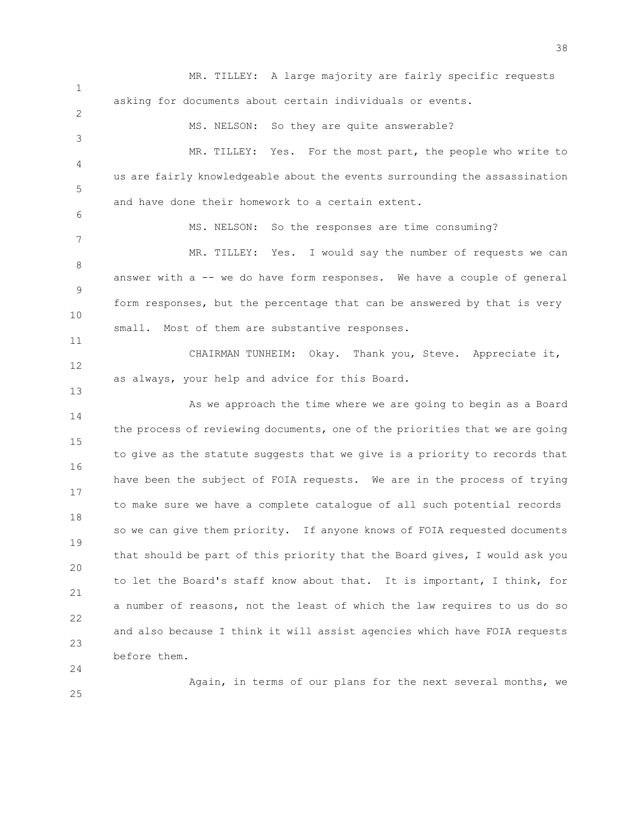1 2 3 4 5 6 7 8 9 10 11 12 13 14 15 16 17 18 19 20 21 22 23 24 25 MR. TILLEY: A large majority are fairly specific requests asking for documents about certain individuals or events. MS. NELSON: So they are quite answerable? MR. TILLEY: Yes. For the most part, the people who write to us are fairly knowledgeable about the events surrounding the assassination and have done their homework to a certain extent. MS. NELSON: So the responses are time consuming? MR. TILLEY: Yes. I would say the number of requests we can answer with a -- we do have form responses. We have a couple of general form responses, but the percentage that can be answered by that is very small. Most of them are substantive responses. CHAIRMAN TUNHEIM: Okay. Thank you, Steve. Appreciate it, as always, your help and advice for this Board. As we approach the time where we are going to begin as a Board the process of reviewing documents, one of the priorities that we are going to give as the statute suggests that we give is a priority to records that have been the subject of FOIA requests. We are in the process of trying to make sure we have a complete catalogue of all such potential records so we can give them priority. If anyone knows of FOIA requested documents that should be part of this priority that the Board gives, I would ask you to let the Board's staff know about that. It is important, I think, for a number of reasons, not the least of which the law requires to us do so and also because I think it will assist agencies which have FOIA requests before them. Again, in terms of our plans for the next several months, we